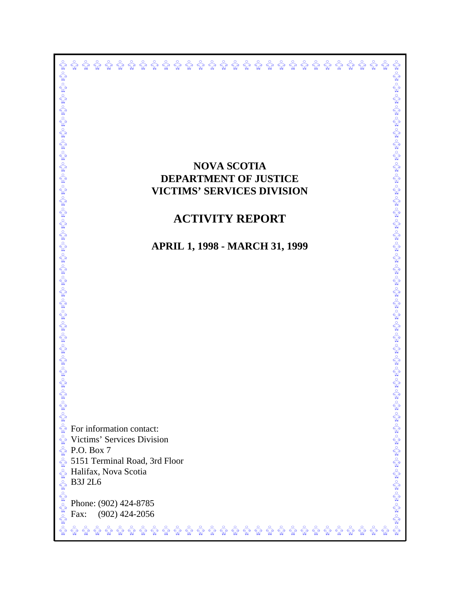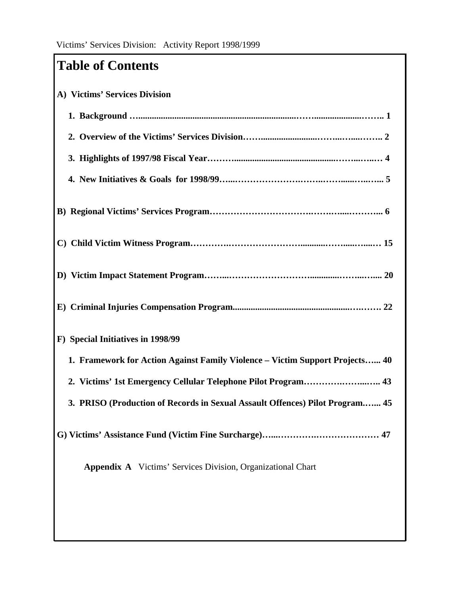# **Table of Contents**

| A) Victims' Services Division                                                |
|------------------------------------------------------------------------------|
|                                                                              |
|                                                                              |
|                                                                              |
|                                                                              |
|                                                                              |
|                                                                              |
|                                                                              |
|                                                                              |
| F) Special Initiatives in 1998/99                                            |
| 1. Framework for Action Against Family Violence - Victim Support Projects 40 |
| 2. Victims' 1st Emergency Cellular Telephone Pilot Program 43                |
| 3. PRISO (Production of Records in Sexual Assault Offences) Pilot Program 45 |
|                                                                              |
| <b>Appendix A</b> Victims' Services Division, Organizational Chart           |
|                                                                              |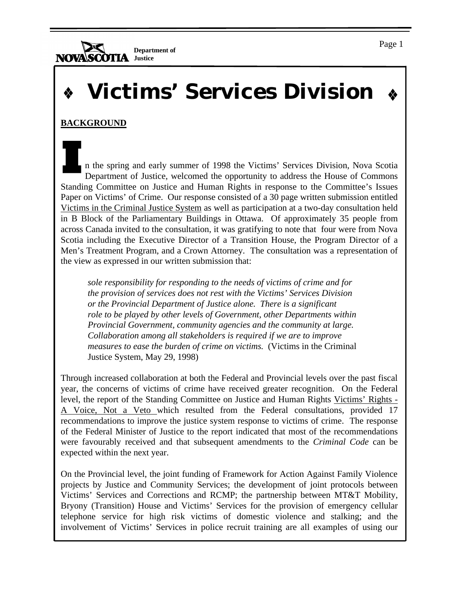$\sum_{i=1}^N$ **Department of NOVA Justice**

# **Victims' Services Division**

# **BACKGROUND**

n the spring and early summer of 1998 the Victims' Services Division, Nova Scotia Department of Justice, welcomed the opportunity to address the House of Commons Standing Committee on Justice and Human Rights in response to the Committee's Issues Paper on Victims' of Crime. Our response consisted of a 30 page written submission entitled Victims in the Criminal Justice System as well as participation at a two-day consultation held in B Block of the Parliamentary Buildings in Ottawa. Of approximately 35 people from across Canada invited to the consultation, it was gratifying to note that four were from Nova Scotia including the Executive Director of a Transition House, the Program Director of a Men's Treatment Program, and a Crown Attorney. The consultation was a representation of the view as expressed in our written submission that:

*sole responsibility for responding to the needs of victims of crime and for the provision of services does not rest with the Victims' Services Division or the Provincial Department of Justice alone. There is a significant role to be played by other levels of Government, other Departments within Provincial Government, community agencies and the community at large. Collaboration among all stakeholders is required if we are to improve measures to ease the burden of crime on victims.* (Victims in the Criminal Justice System, May 29, 1998)

Through increased collaboration at both the Federal and Provincial levels over the past fiscal year, the concerns of victims of crime have received greater recognition. On the Federal level, the report of the Standing Committee on Justice and Human Rights Victims' Rights - A Voice, Not a Veto which resulted from the Federal consultations, provided 17 recommendations to improve the justice system response to victims of crime. The response of the Federal Minister of Justice to the report indicated that most of the recommendations were favourably received and that subsequent amendments to the *Criminal Code* can be expected within the next year.

On the Provincial level, the joint funding of Framework for Action Against Family Violence projects by Justice and Community Services; the development of joint protocols between Victims' Services and Corrections and RCMP; the partnership between MT&T Mobility, Bryony (Transition) House and Victims' Services for the provision of emergency cellular telephone service for high risk victims of domestic violence and stalking; and the involvement of Victims' Services in police recruit training are all examples of using our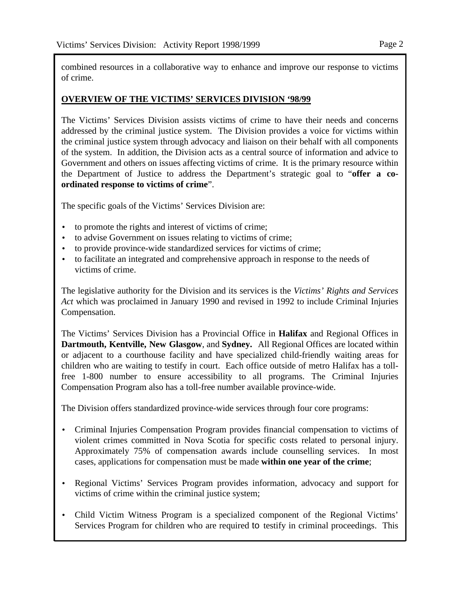combined resources in a collaborative way to enhance and improve our response to victims of crime.

#### **OVERVIEW OF THE VICTIMS' SERVICES DIVISION '98/99**

The Victims' Services Division assists victims of crime to have their needs and concerns addressed by the criminal justice system. The Division provides a voice for victims within the criminal justice system through advocacy and liaison on their behalf with all components of the system. In addition, the Division acts as a central source of information and advice to Government and others on issues affecting victims of crime. It is the primary resource within the Department of Justice to address the Department's strategic goal to "**offer a coordinated response to victims of crime**".

The specific goals of the Victims' Services Division are:

- to promote the rights and interest of victims of crime;
- to advise Government on issues relating to victims of crime;
- to provide province-wide standardized services for victims of crime;
- to facilitate an integrated and comprehensive approach in response to the needs of victims of crime.

The legislative authority for the Division and its services is the *Victims' Rights and Services Act* which was proclaimed in January 1990 and revised in 1992 to include Criminal Injuries Compensation.

The Victims' Services Division has a Provincial Office in **Halifax** and Regional Offices in **Dartmouth, Kentville, New Glasgow**, and **Sydney.** All Regional Offices are located within or adjacent to a courthouse facility and have specialized child-friendly waiting areas for children who are waiting to testify in court. Each office outside of metro Halifax has a tollfree 1-800 number to ensure accessibility to all programs. The Criminal Injuries Compensation Program also has a toll-free number available province-wide.

The Division offers standardized province-wide services through four core programs:

- Criminal Injuries Compensation Program provides financial compensation to victims of violent crimes committed in Nova Scotia for specific costs related to personal injury. Approximately 75% of compensation awards include counselling services. In most cases, applications for compensation must be made **within one year of the crime**;
- Regional Victims' Services Program provides information, advocacy and support for victims of crime within the criminal justice system;
- Child Victim Witness Program is a specialized component of the Regional Victims' Services Program for children who are required to testify in criminal proceedings. This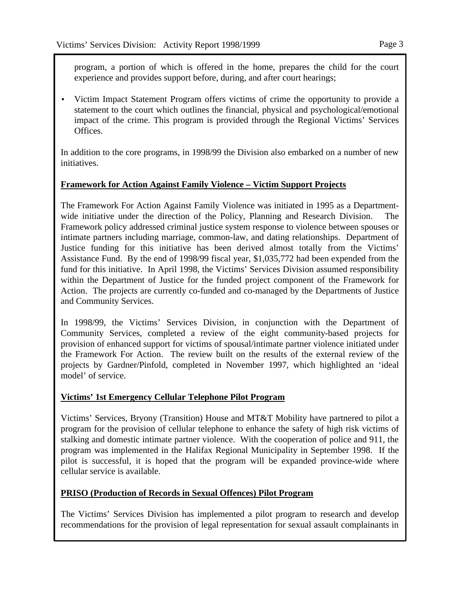Page 3

program, a portion of which is offered in the home, prepares the child for the court experience and provides support before, during, and after court hearings;

• Victim Impact Statement Program offers victims of crime the opportunity to provide a statement to the court which outlines the financial, physical and psychological/emotional impact of the crime. This program is provided through the Regional Victims' Services Offices.

In addition to the core programs, in 1998/99 the Division also embarked on a number of new initiatives.

#### **Framework for Action Against Family Violence – Victim Support Projects**

The Framework For Action Against Family Violence was initiated in 1995 as a Departmentwide initiative under the direction of the Policy, Planning and Research Division. Framework policy addressed criminal justice system response to violence between spouses or intimate partners including marriage, common-law, and dating relationships. Department of Justice funding for this initiative has been derived almost totally from the Victims' Assistance Fund. By the end of 1998/99 fiscal year, \$1,035,772 had been expended from the fund for this initiative. In April 1998, the Victims' Services Division assumed responsibility within the Department of Justice for the funded project component of the Framework for Action. The projects are currently co-funded and co-managed by the Departments of Justice and Community Services.

In 1998/99, the Victims' Services Division, in conjunction with the Department of Community Services, completed a review of the eight community-based projects for provision of enhanced support for victims of spousal/intimate partner violence initiated under the Framework For Action. The review built on the results of the external review of the projects by Gardner/Pinfold, completed in November 1997, which highlighted an 'ideal model' of service.

#### **Victims' 1st Emergency Cellular Telephone Pilot Program**

Victims' Services, Bryony (Transition) House and MT&T Mobility have partnered to pilot a program for the provision of cellular telephone to enhance the safety of high risk victims of stalking and domestic intimate partner violence. With the cooperation of police and 911, the program was implemented in the Halifax Regional Municipality in September 1998. If the pilot is successful, it is hoped that the program will be expanded province-wide where cellular service is available.

#### **PRISO (Production of Records in Sexual Offences) Pilot Program**

The Victims' Services Division has implemented a pilot program to research and develop recommendations for the provision of legal representation for sexual assault complainants in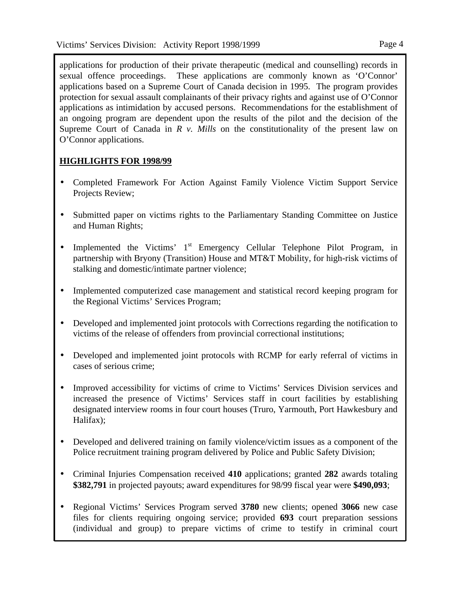applications for production of their private therapeutic (medical and counselling) records in sexual offence proceedings. These applications are commonly known as 'O'Connor' applications based on a Supreme Court of Canada decision in 1995. The program provides protection for sexual assault complainants of their privacy rights and against use of O'Connor applications as intimidation by accused persons. Recommendations for the establishment of an ongoing program are dependent upon the results of the pilot and the decision of the Supreme Court of Canada in *R v. Mills* on the constitutionality of the present law on O'Connor applications.

# **HIGHLIGHTS FOR 1998/99**

- Completed Framework For Action Against Family Violence Victim Support Service Projects Review;
- Submitted paper on victims rights to the Parliamentary Standing Committee on Justice and Human Rights;
- Implemented the Victims' 1<sup>st</sup> Emergency Cellular Telephone Pilot Program, in partnership with Bryony (Transition) House and MT&T Mobility, for high-risk victims of stalking and domestic/intimate partner violence;
- Implemented computerized case management and statistical record keeping program for the Regional Victims' Services Program;
- Developed and implemented joint protocols with Corrections regarding the notification to victims of the release of offenders from provincial correctional institutions;
- Developed and implemented joint protocols with RCMP for early referral of victims in cases of serious crime;
- Improved accessibility for victims of crime to Victims' Services Division services and increased the presence of Victims' Services staff in court facilities by establishing designated interview rooms in four court houses (Truro, Yarmouth, Port Hawkesbury and Halifax);
- Developed and delivered training on family violence/victim issues as a component of the Police recruitment training program delivered by Police and Public Safety Division;
- Criminal Injuries Compensation received **410** applications; granted **282** awards totaling **\$382,791** in projected payouts; award expenditures for 98/99 fiscal year were **\$490,093**;
- Regional Victims' Services Program served **3780** new clients; opened **3066** new case files for clients requiring ongoing service; provided **693** court preparation sessions (individual and group) to prepare victims of crime to testify in criminal court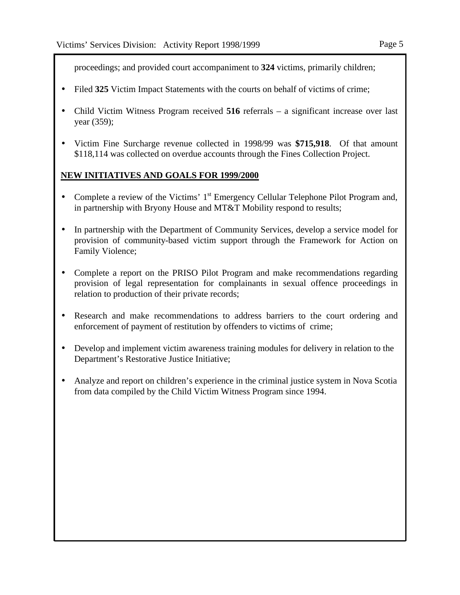proceedings; and provided court accompaniment to **324** victims, primarily children;

- Filed 325 Victim Impact Statements with the courts on behalf of victims of crime;
- Child Victim Witness Program received **516** referrals a significant increase over last year (359);
- Victim Fine Surcharge revenue collected in 1998/99 was **\$715,918**. Of that amount \$118,114 was collected on overdue accounts through the Fines Collection Project.

#### **NEW INITIATIVES AND GOALS FOR 1999/2000**

- Complete a review of the Victims' 1<sup>st</sup> Emergency Cellular Telephone Pilot Program and, in partnership with Bryony House and MT&T Mobility respond to results;
- In partnership with the Department of Community Services, develop a service model for provision of community-based victim support through the Framework for Action on Family Violence;
- Complete a report on the PRISO Pilot Program and make recommendations regarding provision of legal representation for complainants in sexual offence proceedings in relation to production of their private records;
- Research and make recommendations to address barriers to the court ordering and enforcement of payment of restitution by offenders to victims of crime;
- Develop and implement victim awareness training modules for delivery in relation to the Department's Restorative Justice Initiative;
- Analyze and report on children's experience in the criminal justice system in Nova Scotia from data compiled by the Child Victim Witness Program since 1994.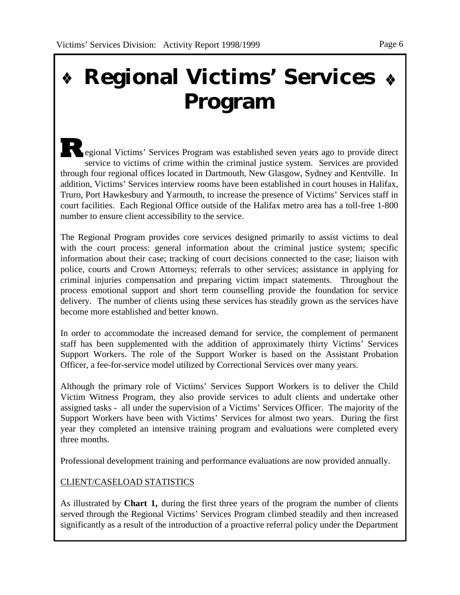# **Regional Victims' Services Program**

egional Victims' Services Program was established seven years ago to provide direct service to victims of crime within the criminal justice system. Services are provided through four regional offices located in Dartmouth, New Glasgow, Sydney and Kentville. In addition, Victims' Services interview rooms have been established in court houses in Halifax, Truro, Port Hawkesbury and Yarmouth, to increase the presence of Victims' Services staff in court facilities. Each Regional Office outside of the Halifax metro area has a toll-free 1-800 number to ensure client accessibility to the service.

The Regional Program provides core services designed primarily to assist victims to deal with the court process: general information about the criminal justice system; specific information about their case; tracking of court decisions connected to the case; liaison with police, courts and Crown Attorneys; referrals to other services; assistance in applying for criminal injuries compensation and preparing victim impact statements. Throughout the process emotional support and short term counselling provide the foundation for service delivery. The number of clients using these services has steadily grown as the services have become more established and better known.

In order to accommodate the increased demand for service, the complement of permanent staff has been supplemented with the addition of approximately thirty Victims' Services Support Workers. The role of the Support Worker is based on the Assistant Probation Officer, a fee-for-service model utilized by Correctional Services over many years.

Although the primary role of Victims' Services Support Workers is to deliver the Child Victim Witness Program, they also provide services to adult clients and undertake other assigned tasks - all under the supervision of a Victims' Services Officer. The majority of the Support Workers have been with Victims' Services for almost two years. During the first year they completed an intensive training program and evaluations were completed every three months.

Professional development training and performance evaluations are now provided annually.

CLIENT/CASELOAD STATISTICS

As illustrated by **Chart 1,** during the first three years of the program the number of clients served through the Regional Victims' Services Program climbed steadily and then increased significantly as a result of the introduction of a proactive referral policy under the Department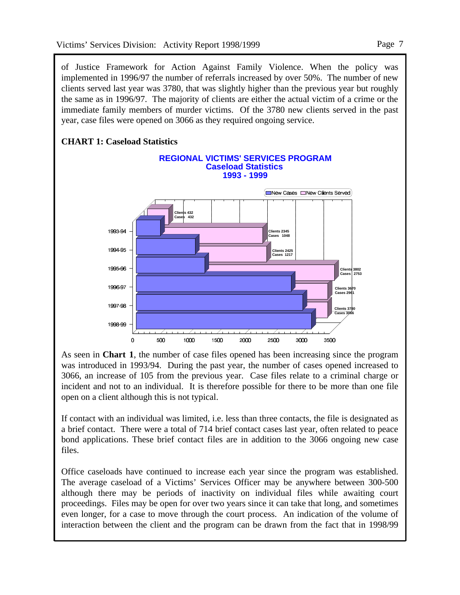of Justice Framework for Action Against Family Violence. When the policy was implemented in 1996/97 the number of referrals increased by over 50%. The number of new clients served last year was 3780, that was slightly higher than the previous year but roughly the same as in 1996/97. The majority of clients are either the actual victim of a crime or the immediate family members of murder victims. Of the 3780 new clients served in the past year, case files were opened on 3066 as they required ongoing service.

# **CHART 1: Caseload Statistics**



As seen in **Chart 1**, the number of case files opened has been increasing since the program was introduced in 1993/94. During the past year, the number of cases opened increased to 3066, an increase of 105 from the previous year. Case files relate to a criminal charge or incident and not to an individual. It is therefore possible for there to be more than one file open on a client although this is not typical.

If contact with an individual was limited, i.e. less than three contacts, the file is designated as a brief contact. There were a total of 714 brief contact cases last year, often related to peace bond applications. These brief contact files are in addition to the 3066 ongoing new case files.

Office caseloads have continued to increase each year since the program was established. The average caseload of a Victims' Services Officer may be anywhere between 300-500 although there may be periods of inactivity on individual files while awaiting court proceedings. Files may be open for over two years since it can take that long, and sometimes even longer, for a case to move through the court process. An indication of the volume of interaction between the client and the program can be drawn from the fact that in 1998/99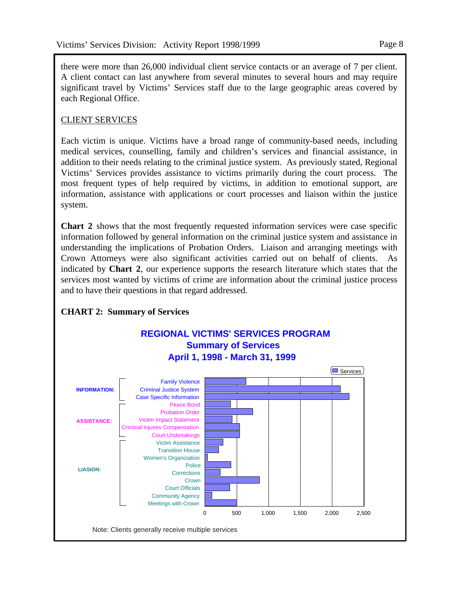there were more than 26,000 individual client service contacts or an average of 7 per client. A client contact can last anywhere from several minutes to several hours and may require significant travel by Victims' Services staff due to the large geographic areas covered by each Regional Office.

# CLIENT SERVICES

Each victim is unique. Victims have a broad range of community-based needs, including medical services, counselling, family and children's services and financial assistance, in addition to their needs relating to the criminal justice system. As previously stated, Regional Victims' Services provides assistance to victims primarily during the court process. The most frequent types of help required by victims, in addition to emotional support, are information, assistance with applications or court processes and liaison within the justice system.

**Chart 2** shows that the most frequently requested information services were case specific information followed by general information on the criminal justice system and assistance in understanding the implications of Probation Orders. Liaison and arranging meetings with Crown Attorneys were also significant activities carried out on behalf of clients. As indicated by **Chart 2**, our experience supports the research literature which states that the services most wanted by victims of crime are information about the criminal justice process and to have their questions in that regard addressed.



# **CHART 2: Summary of Services**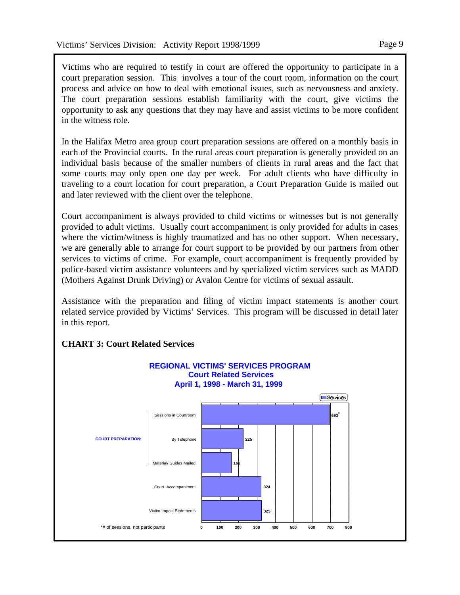Victims who are required to testify in court are offered the opportunity to participate in a court preparation session. This involves a tour of the court room, information on the court process and advice on how to deal with emotional issues, such as nervousness and anxiety. The court preparation sessions establish familiarity with the court, give victims the opportunity to ask any questions that they may have and assist victims to be more confident in the witness role.

In the Halifax Metro area group court preparation sessions are offered on a monthly basis in each of the Provincial courts. In the rural areas court preparation is generally provided on an individual basis because of the smaller numbers of clients in rural areas and the fact that some courts may only open one day per week. For adult clients who have difficulty in traveling to a court location for court preparation, a Court Preparation Guide is mailed out and later reviewed with the client over the telephone.

Court accompaniment is always provided to child victims or witnesses but is not generally provided to adult victims. Usually court accompaniment is only provided for adults in cases where the victim/witness is highly traumatized and has no other support. When necessary, we are generally able to arrange for court support to be provided by our partners from other services to victims of crime. For example, court accompaniment is frequently provided by police-based victim assistance volunteers and by specialized victim services such as MADD (Mothers Against Drunk Driving) or Avalon Centre for victims of sexual assault.

Assistance with the preparation and filing of victim impact statements is another court related service provided by Victims' Services. This program will be discussed in detail later in this report.



# **CHART 3: Court Related Services**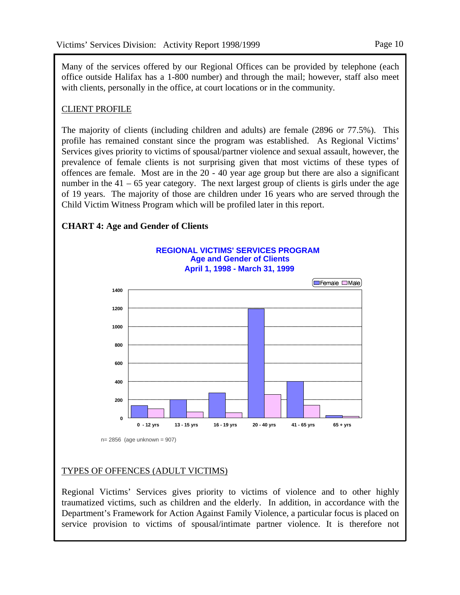Page 10

Many of the services offered by our Regional Offices can be provided by telephone (each office outside Halifax has a 1-800 number) and through the mail; however, staff also meet with clients, personally in the office, at court locations or in the community.

#### CLIENT PROFILE

The majority of clients (including children and adults) are female (2896 or 77.5%). This profile has remained constant since the program was established. As Regional Victims' Services gives priority to victims of spousal/partner violence and sexual assault, however, the prevalence of female clients is not surprising given that most victims of these types of offences are female. Most are in the 20 - 40 year age group but there are also a significant number in the  $41 - 65$  year category. The next largest group of clients is girls under the age of 19 years. The majority of those are children under 16 years who are served through the Child Victim Witness Program which will be profiled later in this report.

#### **CHART 4: Age and Gender of Clients**



#### TYPES OF OFFENCES (ADULT VICTIMS)

Regional Victims' Services gives priority to victims of violence and to other highly traumatized victims, such as children and the elderly. In addition, in accordance with the Department's Framework for Action Against Family Violence, a particular focus is placed on service provision to victims of spousal/intimate partner violence. It is therefore not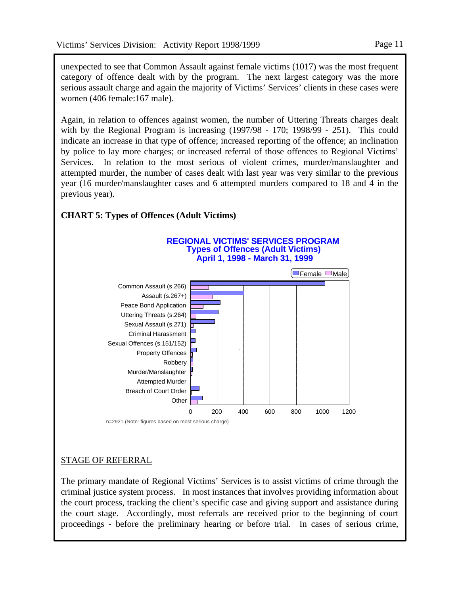unexpected to see that Common Assault against female victims (1017) was the most frequent category of offence dealt with by the program. The next largest category was the more serious assault charge and again the majority of Victims' Services' clients in these cases were women (406 female:167 male).

Again, in relation to offences against women, the number of Uttering Threats charges dealt with by the Regional Program is increasing (1997/98 - 170; 1998/99 - 251). This could indicate an increase in that type of offence; increased reporting of the offence; an inclination by police to lay more charges; or increased referral of those offences to Regional Victims' Services. In relation to the most serious of violent crimes, murder/manslaughter and attempted murder, the number of cases dealt with last year was very similar to the previous year (16 murder/manslaughter cases and 6 attempted murders compared to 18 and 4 in the previous year).



#### **CHART 5: Types of Offences (Adult Victims)**

n=2921 (Note: figures based on most serious charge)

# STAGE OF REFERRAL

The primary mandate of Regional Victims' Services is to assist victims of crime through the criminal justice system process. In most instances that involves providing information about the court process, tracking the client's specific case and giving support and assistance during the court stage. Accordingly, most referrals are received prior to the beginning of court proceedings - before the preliminary hearing or before trial. In cases of serious crime,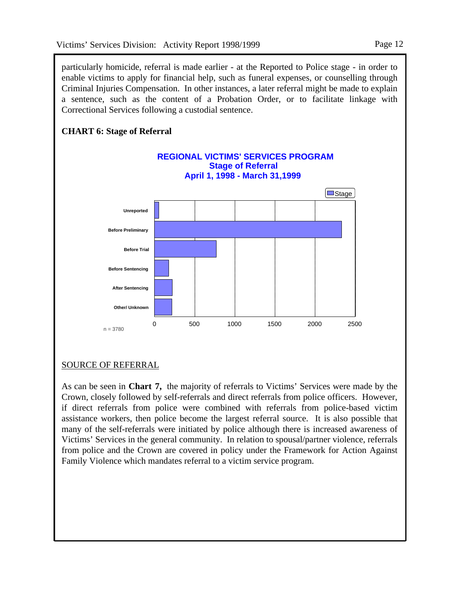particularly homicide, referral is made earlier - at the Reported to Police stage - in order to enable victims to apply for financial help, such as funeral expenses, or counselling through Criminal Injuries Compensation. In other instances, a later referral might be made to explain a sentence, such as the content of a Probation Order, or to facilitate linkage with Correctional Services following a custodial sentence.



# SOURCE OF REFERRAL

As can be seen in **Chart 7,** the majority of referrals to Victims' Services were made by the Crown, closely followed by self-referrals and direct referrals from police officers. However, if direct referrals from police were combined with referrals from police-based victim assistance workers, then police become the largest referral source. It is also possible that many of the self-referrals were initiated by police although there is increased awareness of Victims' Services in the general community. In relation to spousal/partner violence, referrals from police and the Crown are covered in policy under the Framework for Action Against Family Violence which mandates referral to a victim service program.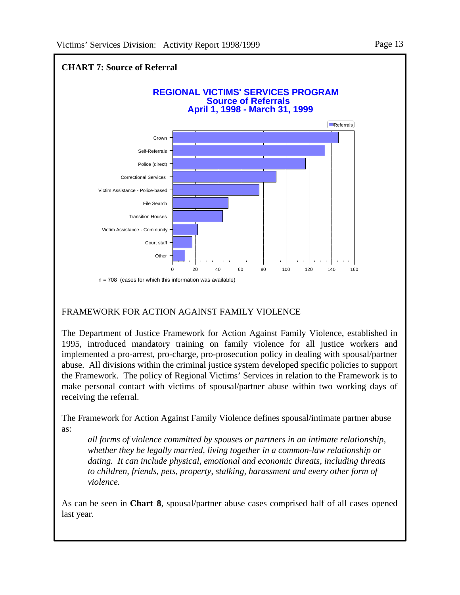

# FRAMEWORK FOR ACTION AGAINST FAMILY VIOLENCE

The Department of Justice Framework for Action Against Family Violence, established in 1995, introduced mandatory training on family violence for all justice workers and implemented a pro-arrest, pro-charge, pro-prosecution policy in dealing with spousal/partner abuse. All divisions within the criminal justice system developed specific policies to support the Framework. The policy of Regional Victims' Services in relation to the Framework is to make personal contact with victims of spousal/partner abuse within two working days of receiving the referral.

The Framework for Action Against Family Violence defines spousal/intimate partner abuse as:

 *all forms of violence committed by spouses or partners in an intimate relationship, whether they be legally married, living together in a common-law relationship or dating. It can include physical, emotional and economic threats, including threats to children, friends, pets, property, stalking, harassment and every other form of violence.*

As can be seen in **Chart 8**, spousal/partner abuse cases comprised half of all cases opened last year.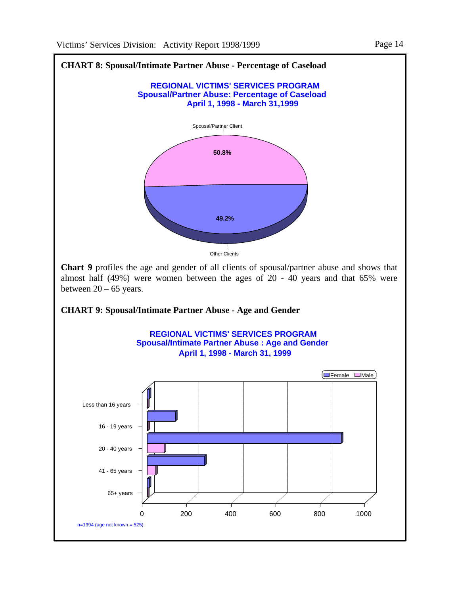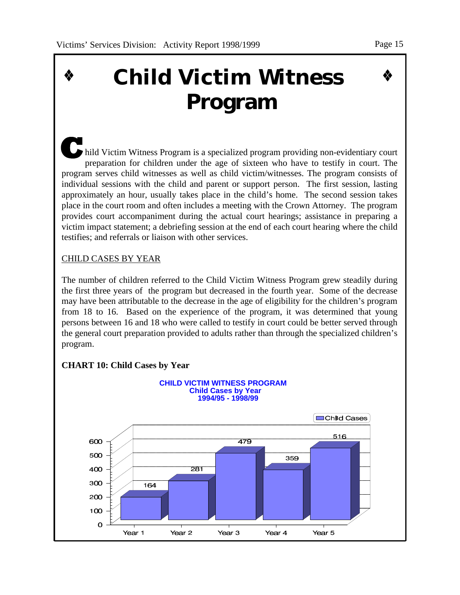#### Page 15

# **Child Victim Witness Program**

hild Victim Witness Program is a specialized program providing non-evidentiary court preparation for children under the age of sixteen who have to testify in court. The program serves child witnesses as well as child victim/witnesses. The program consists of individual sessions with the child and parent or support person. The first session, lasting approximately an hour, usually takes place in the child's home. The second session takes place in the court room and often includes a meeting with the Crown Attorney. The program provides court accompaniment during the actual court hearings; assistance in preparing a victim impact statement; a debriefing session at the end of each court hearing where the child testifies; and referrals or liaison with other services.

# CHILD CASES BY YEAR

The number of children referred to the Child Victim Witness Program grew steadily during the first three years of the program but decreased in the fourth year. Some of the decrease may have been attributable to the decrease in the age of eligibility for the children's program from 18 to 16. Based on the experience of the program, it was determined that young persons between 16 and 18 who were called to testify in court could be better served through the general court preparation provided to adults rather than through the specialized children's program.



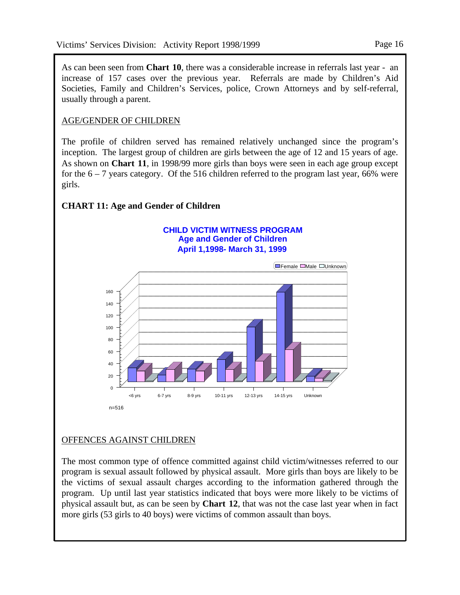As can been seen from **Chart 10**, there was a considerable increase in referrals last year - an increase of 157 cases over the previous year. Referrals are made by Children's Aid Societies, Family and Children's Services, police, Crown Attorneys and by self-referral, usually through a parent.

### AGE/GENDER OF CHILDREN

The profile of children served has remained relatively unchanged since the program's inception. The largest group of children are girls between the age of 12 and 15 years of age. As shown on **Chart 11**, in 1998/99 more girls than boys were seen in each age group except for the  $6 - 7$  years category. Of the 516 children referred to the program last year, 66% were girls.

# **CHART 11: Age and Gender of Children**

#### **Age and Gender of Children April 1,1998- March 31, 1999 CHILD VICTIM WITNESS PROGRAM**



# OFFENCES AGAINST CHILDREN

The most common type of offence committed against child victim/witnesses referred to our program is sexual assault followed by physical assault. More girls than boys are likely to be the victims of sexual assault charges according to the information gathered through the program. Up until last year statistics indicated that boys were more likely to be victims of physical assault but, as can be seen by **Chart 12**, that was not the case last year when in fact more girls (53 girls to 40 boys) were victims of common assault than boys.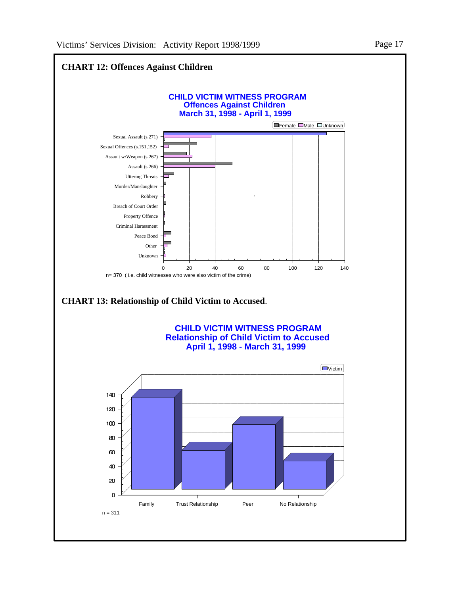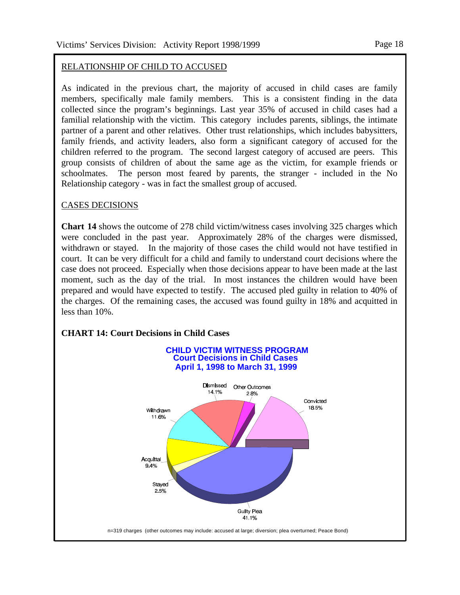#### RELATIONSHIP OF CHILD TO ACCUSED

As indicated in the previous chart, the majority of accused in child cases are family members, specifically male family members. This is a consistent finding in the data collected since the program's beginnings. Last year 35% of accused in child cases had a familial relationship with the victim. This category includes parents, siblings, the intimate partner of a parent and other relatives. Other trust relationships, which includes babysitters, family friends, and activity leaders, also form a significant category of accused for the children referred to the program. The second largest category of accused are peers. This group consists of children of about the same age as the victim, for example friends or schoolmates. The person most feared by parents, the stranger - included in the No Relationship category - was in fact the smallest group of accused.

#### CASES DECISIONS

**Chart 14** shows the outcome of 278 child victim/witness cases involving 325 charges which were concluded in the past year. Approximately 28% of the charges were dismissed, withdrawn or stayed. In the majority of those cases the child would not have testified in court. It can be very difficult for a child and family to understand court decisions where the case does not proceed. Especially when those decisions appear to have been made at the last moment, such as the day of the trial. In most instances the children would have been prepared and would have expected to testify. The accused pled guilty in relation to 40% of the charges. Of the remaining cases, the accused was found guilty in 18% and acquitted in less than 10%.

# **CHART 14: Court Decisions in Child Cases CHILD VICTIM WITNESS PROGRAMCourt Decisions in Child Cases April 1, 1998 to March 31, 1999** Dismissed Other Outcomes 14 1%  $2.8%$ Convicted 18.5% Withdrawn 11.6% Acquittal 9.4% Staved 2.5% Guilty Plea 41 1% n=319 charges (other outcomes may include: accused at large; diversion; plea overturned; Peace Bond)

Page 18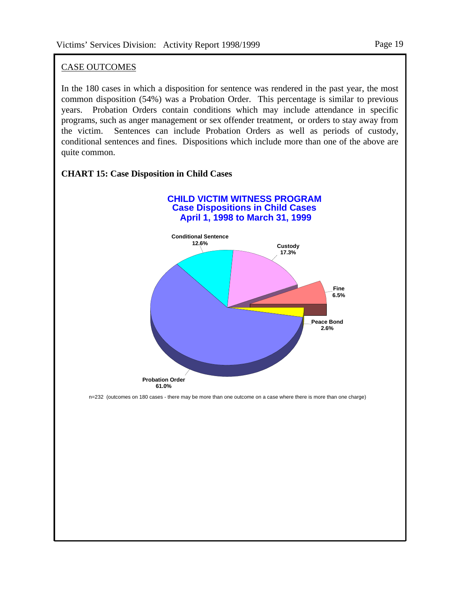# CASE OUTCOMES

In the 180 cases in which a disposition for sentence was rendered in the past year, the most common disposition (54%) was a Probation Order. This percentage is similar to previous years. Probation Orders contain conditions which may include attendance in specific programs, such as anger management or sex offender treatment, or orders to stay away from the victim. Sentences can include Probation Orders as well as periods of custody, conditional sentences and fines. Dispositions which include more than one of the above are quite common.

# **CHART 15: Case Disposition in Child Cases**



n=232 (outcomes on 180 cases - there may be more than one outcome on a case where there is more than one charge)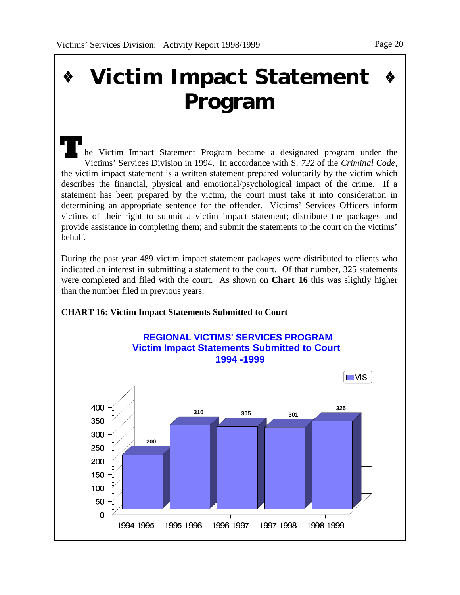# **Victim Impact Statement Program**

he Victim Impact Statement Program became a designated program under the Victims' Services Division in 1994. In accordance with S. *722* of the *Criminal Code*, the victim impact statement is a written statement prepared voluntarily by the victim which describes the financial, physical and emotional/psychological impact of the crime. If a statement has been prepared by the victim, the court must take it into consideration in determining an appropriate sentence for the offender. Victims' Services Officers inform victims of their right to submit a victim impact statement; distribute the packages and provide assistance in completing them; and submit the statements to the court on the victims' behalf.

During the past year 489 victim impact statement packages were distributed to clients who indicated an interest in submitting a statement to the court. Of that number, 325 statements were completed and filed with the court. As shown on **Chart 16** this was slightly higher than the number filed in previous years.

#### **CHART 16: Victim Impact Statements Submitted to Court**



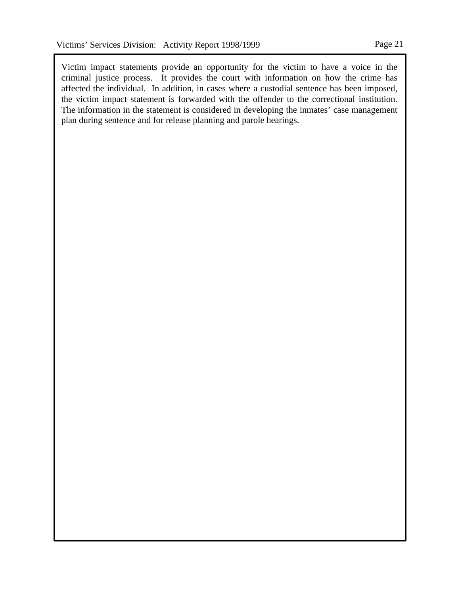Victim impact statements provide an opportunity for the victim to have a voice in the criminal justice process. It provides the court with information on how the crime has affected the individual. In addition, in cases where a custodial sentence has been imposed, the victim impact statement is forwarded with the offender to the correctional institution. The information in the statement is considered in developing the inmates' case management plan during sentence and for release planning and parole hearings.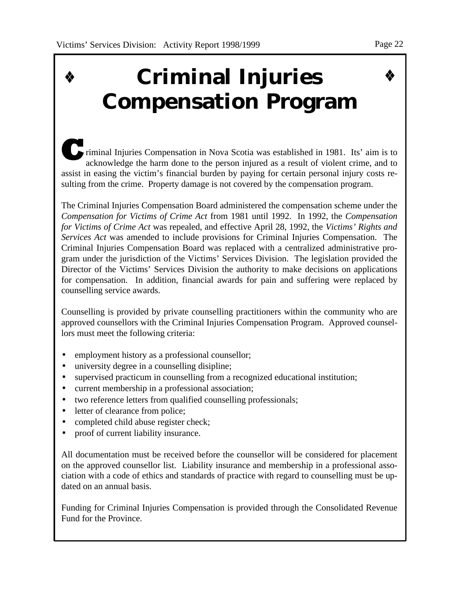#### Page 22

# **Criminal Injuries Compensation Program**

riminal Injuries Compensation in Nova Scotia was established in 1981. Its' aim is to acknowledge the harm done to the person injured as a result of violent crime, and to assist in easing the victim's financial burden by paying for certain personal injury costs resulting from the crime. Property damage is not covered by the compensation program.

The Criminal Injuries Compensation Board administered the compensation scheme under the *Compensation for Victims of Crime Act* from 1981 until 1992. In 1992, the *Compensation for Victims of Crime Act* was repealed, and effective April 28, 1992, the *Victims' Rights and Services Act* was amended to include provisions for Criminal Injuries Compensation. The Criminal Injuries Compensation Board was replaced with a centralized administrative program under the jurisdiction of the Victims' Services Division. The legislation provided the Director of the Victims' Services Division the authority to make decisions on applications for compensation. In addition, financial awards for pain and suffering were replaced by counselling service awards.

Counselling is provided by private counselling practitioners within the community who are approved counsellors with the Criminal Injuries Compensation Program. Approved counsellors must meet the following criteria:

- employment history as a professional counsellor;
- university degree in a counselling disipline;
- supervised practicum in counselling from a recognized educational institution;
- current membership in a professional association;
- two reference letters from qualified counselling professionals;
- letter of clearance from police;
- completed child abuse register check;
- proof of current liability insurance.

All documentation must be received before the counsellor will be considered for placement on the approved counsellor list. Liability insurance and membership in a professional association with a code of ethics and standards of practice with regard to counselling must be updated on an annual basis.

Funding for Criminal Injuries Compensation is provided through the Consolidated Revenue Fund for the Province.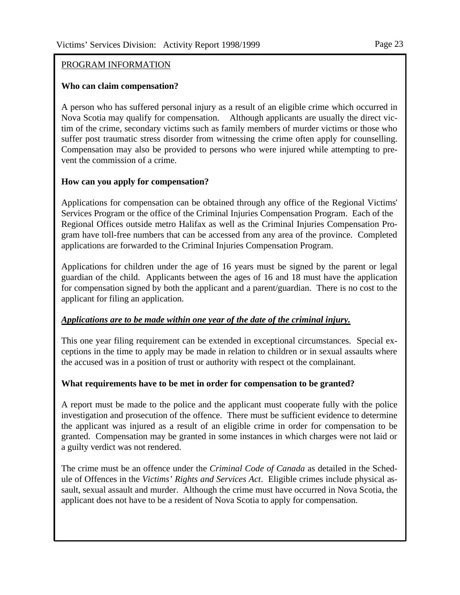#### Page 23

#### PROGRAM INFORMATION

#### **Who can claim compensation?**

A person who has suffered personal injury as a result of an eligible crime which occurred in Nova Scotia may qualify for compensation. Although applicants are usually the direct victim of the crime, secondary victims such as family members of murder victims or those who suffer post traumatic stress disorder from witnessing the crime often apply for counselling. Compensation may also be provided to persons who were injured while attempting to prevent the commission of a crime.

#### **How can you apply for compensation?**

Applications for compensation can be obtained through any office of the Regional Victims' Services Program or the office of the Criminal Injuries Compensation Program. Each of the Regional Offices outside metro Halifax as well as the Criminal Injuries Compensation Program have toll-free numbers that can be accessed from any area of the province. Completed applications are forwarded to the Criminal Injuries Compensation Program.

Applications for children under the age of 16 years must be signed by the parent or legal guardian of the child. Applicants between the ages of 16 and 18 must have the application for compensation signed by both the applicant and a parent/guardian. There is no cost to the applicant for filing an application.

#### *Applications are to be made within one year of the date of the criminal injury.*

This one year filing requirement can be extended in exceptional circumstances. Special exceptions in the time to apply may be made in relation to children or in sexual assaults where the accused was in a position of trust or authority with respect ot the complainant.

#### **What requirements have to be met in order for compensation to be granted?**

A report must be made to the police and the applicant must cooperate fully with the police investigation and prosecution of the offence. There must be sufficient evidence to determine the applicant was injured as a result of an eligible crime in order for compensation to be granted. Compensation may be granted in some instances in which charges were not laid or a guilty verdict was not rendered.

The crime must be an offence under the *Criminal Code of Canada* as detailed in the Schedule of Offences in the *Victims' Rights and Services Act*. Eligible crimes include physical assault, sexual assault and murder. Although the crime must have occurred in Nova Scotia, the applicant does not have to be a resident of Nova Scotia to apply for compensation.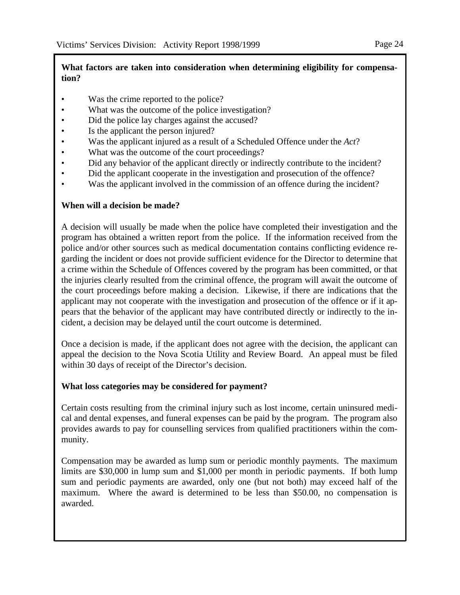#### **What factors are taken into consideration when determining eligibility for compensation?**

- Was the crime reported to the police?
- What was the outcome of the police investigation?
- Did the police lay charges against the accused?
- Is the applicant the person injured?
- Was the applicant injured as a result of a Scheduled Offence under the *Act*?
- What was the outcome of the court proceedings?
- Did any behavior of the applicant directly or indirectly contribute to the incident?
- Did the applicant cooperate in the investigation and prosecution of the offence?
- Was the applicant involved in the commission of an offence during the incident?

#### **When will a decision be made?**

A decision will usually be made when the police have completed their investigation and the program has obtained a written report from the police. If the information received from the police and/or other sources such as medical documentation contains conflicting evidence regarding the incident or does not provide sufficient evidence for the Director to determine that a crime within the Schedule of Offences covered by the program has been committed, or that the injuries clearly resulted from the criminal offence, the program will await the outcome of the court proceedings before making a decision. Likewise, if there are indications that the applicant may not cooperate with the investigation and prosecution of the offence or if it appears that the behavior of the applicant may have contributed directly or indirectly to the incident, a decision may be delayed until the court outcome is determined.

Once a decision is made, if the applicant does not agree with the decision, the applicant can appeal the decision to the Nova Scotia Utility and Review Board. An appeal must be filed within 30 days of receipt of the Director's decision.

#### **What loss categories may be considered for payment?**

Certain costs resulting from the criminal injury such as lost income, certain uninsured medical and dental expenses, and funeral expenses can be paid by the program. The program also provides awards to pay for counselling services from qualified practitioners within the community.

Compensation may be awarded as lump sum or periodic monthly payments. The maximum limits are \$30,000 in lump sum and \$1,000 per month in periodic payments. If both lump sum and periodic payments are awarded, only one (but not both) may exceed half of the maximum. Where the award is determined to be less than \$50.00, no compensation is awarded.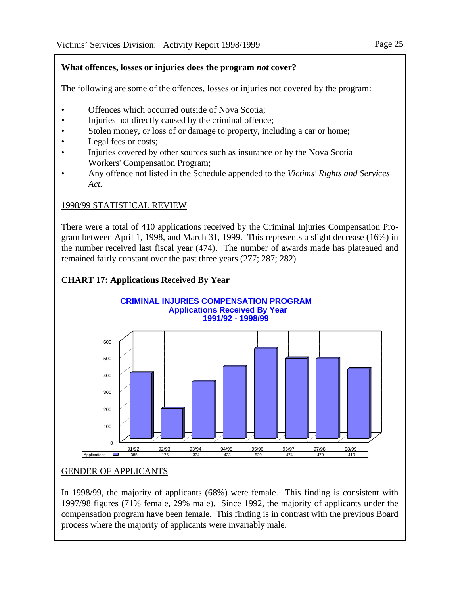### **What offences, losses or injuries does the program** *not* **cover?**

The following are some of the offences, losses or injuries not covered by the program:

- Offences which occurred outside of Nova Scotia;
- Injuries not directly caused by the criminal offence;
- Stolen money, or loss of or damage to property, including a car or home;
- Legal fees or costs;
- Injuries covered by other sources such as insurance or by the Nova Scotia Workers' Compensation Program;
- Any offence not listed in the Schedule appended to the *Victims' Rights and Services Act.*

# 1998/99 STATISTICAL REVIEW

There were a total of 410 applications received by the Criminal Injuries Compensation Program between April 1, 1998, and March 31, 1999. This represents a slight decrease (16%) in the number received last fiscal year (474). The number of awards made has plateaued and remained fairly constant over the past three years (277; 287; 282).

# **CHART 17: Applications Received By Year**



# GENDER OF APPLICANTS

In 1998/99, the majority of applicants (68%) were female. This finding is consistent with 1997/98 figures (71% female, 29% male). Since 1992, the majority of applicants under the compensation program have been female. This finding is in contrast with the previous Board process where the majority of applicants were invariably male.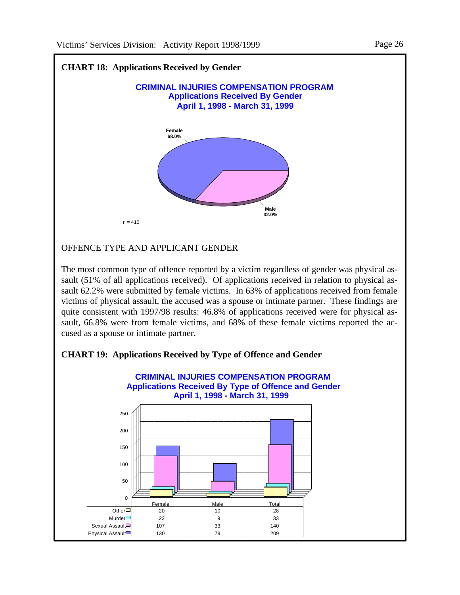

#### OFFENCE TYPE AND APPLICANT GENDER

The most common type of offence reported by a victim regardless of gender was physical assault (51% of all applications received). Of applications received in relation to physical assault 62.2% were submitted by female victims. In 63% of applications received from female victims of physical assault, the accused was a spouse or intimate partner. These findings are quite consistent with 1997/98 results: 46.8% of applications received were for physical assault, 66.8% were from female victims, and 68% of these female victims reported the accused as a spouse or intimate partner.



#### **CHART 19: Applications Received by Type of Offence and Gender**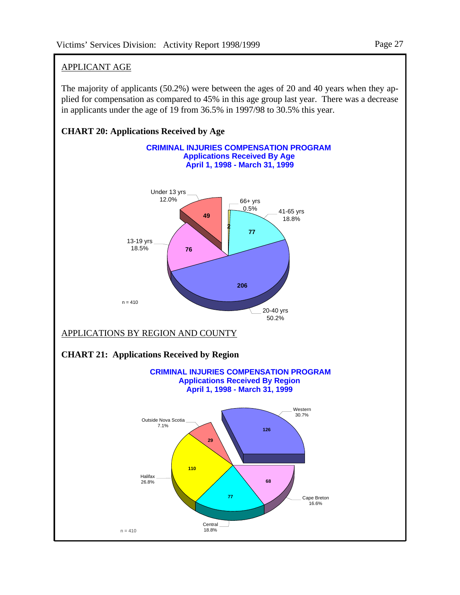# APPLICANT AGE

The majority of applicants (50.2%) were between the ages of 20 and 40 years when they applied for compensation as compared to 45% in this age group last year. There was a decrease in applicants under the age of 19 from 36.5% in 1997/98 to 30.5% this year.

### **CHART 20: Applications Received by Age**

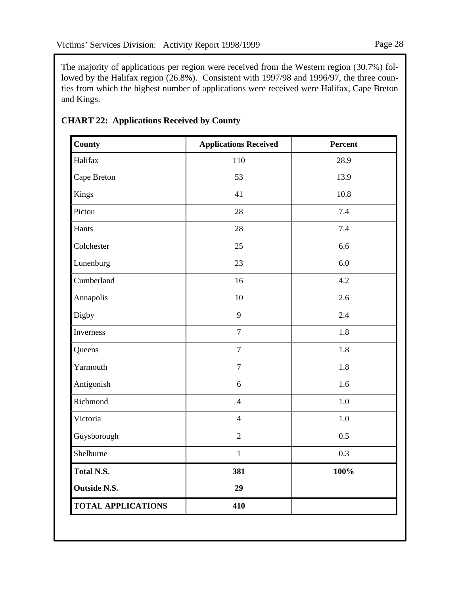The majority of applications per region were received from the Western region (30.7%) followed by the Halifax region (26.8%). Consistent with 1997/98 and 1996/97, the three counties from which the highest number of applications were received were Halifax, Cape Breton and Kings.

| <b>County</b>             | <b>Applications Received</b> | Percent |
|---------------------------|------------------------------|---------|
| Halifax                   | 110                          | 28.9    |
| Cape Breton               | 53                           | 13.9    |
| Kings                     | 41                           | 10.8    |
| Pictou                    | 28                           | 7.4     |
| Hants                     | 28                           | 7.4     |
| Colchester                | 25                           | 6.6     |
| Lunenburg                 | 23                           | 6.0     |
| Cumberland                | 16                           | 4.2     |
| Annapolis                 | 10                           | 2.6     |
| Digby                     | 9                            | 2.4     |
| Inverness                 | $\boldsymbol{7}$             | 1.8     |
| Queens                    | $\overline{7}$               | 1.8     |
| Yarmouth                  | $\boldsymbol{7}$             | 1.8     |
| Antigonish                | 6                            | 1.6     |
| Richmond                  | $\overline{4}$               | $1.0\,$ |
| Victoria                  | $\overline{4}$               | 1.0     |
| Guysborough               | $\sqrt{2}$                   | 0.5     |
| Shelburne                 | $\mathbf{1}$                 | 0.3     |
| <b>Total N.S.</b>         | 381                          | 100%    |
| <b>Outside N.S.</b>       | 29                           |         |
| <b>TOTAL APPLICATIONS</b> | 410                          |         |

# **CHART 22: Applications Received by County**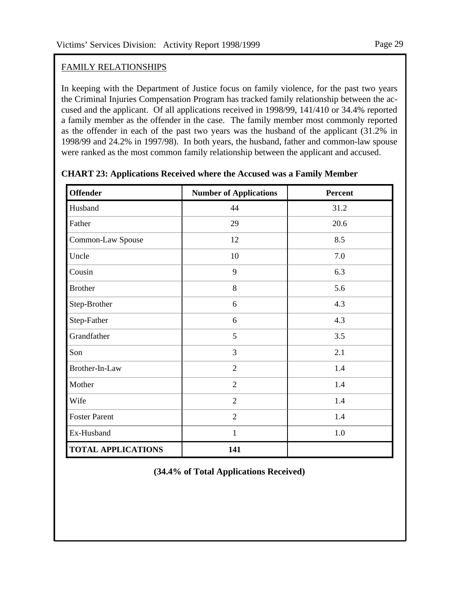# FAMILY RELATIONSHIPS

In keeping with the Department of Justice focus on family violence, for the past two years the Criminal Injuries Compensation Program has tracked family relationship between the accused and the applicant. Of all applications received in 1998/99, 141/410 or 34.4% reported a family member as the offender in the case. The family member most commonly reported as the offender in each of the past two years was the husband of the applicant (31.2% in 1998/99 and 24.2% in 1997/98). In both years, the husband, father and common-law spouse were ranked as the most common family relationship between the applicant and accused.

| <b>Offender</b>           | <b>Number of Applications</b> | Percent |
|---------------------------|-------------------------------|---------|
| Husband                   | 44                            | 31.2    |
| Father                    | 29                            | 20.6    |
| Common-Law Spouse         | 12                            | 8.5     |
| Uncle                     | 10                            | 7.0     |
| Cousin                    | 9                             | 6.3     |
| <b>Brother</b>            | 8                             | 5.6     |
| Step-Brother              | 6                             | 4.3     |
| Step-Father               | 6                             | 4.3     |
| Grandfather               | 5                             | 3.5     |
| Son                       | 3                             | 2.1     |
| Brother-In-Law            | $\overline{2}$                | 1.4     |
| Mother                    | $\overline{2}$                | 1.4     |
| Wife                      | $\overline{2}$                | 1.4     |
| <b>Foster Parent</b>      | $\overline{2}$                | 1.4     |
| Ex-Husband                | $\mathbf{1}$                  | 1.0     |
| <b>TOTAL APPLICATIONS</b> | 141                           |         |

**CHART 23: Applications Received where the Accused was a Family Member**

**(34.4% of Total Applications Received)**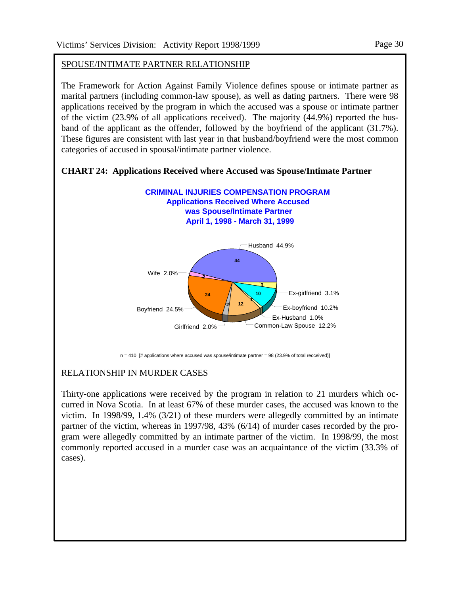# SPOUSE/INTIMATE PARTNER RELATIONSHIP

The Framework for Action Against Family Violence defines spouse or intimate partner as marital partners (including common-law spouse), as well as dating partners. There were 98 applications received by the program in which the accused was a spouse or intimate partner of the victim (23.9% of all applications received). The majority (44.9%) reported the husband of the applicant as the offender, followed by the boyfriend of the applicant (31.7%). These figures are consistent with last year in that husband/boyfriend were the most common categories of accused in spousal/intimate partner violence.

**Applications Received Where Accused was Spouse/Intimate Partner** Husband 44.9% Wife 2.0% Boyfriend 24.5% Girlfriend 2.0% Common-Law Spouse 12.2% Ex-Husband 1.0% Ex-boyfriend 10.2% Ex-girlfriend 3.1% **44 2 24 2 12 1 10 3 CRIMINAL INJURIES COMPENSATION PROGRAM April 1, 1998 - March 31, 1999** 

**CHART 24: Applications Received where Accused was Spouse/Intimate Partner** 

 $n = 410$  [# applications where accused was spouse/intimate partner = 98 (23.9% of total recceived)]

#### RELATIONSHIP IN MURDER CASES

Thirty-one applications were received by the program in relation to 21 murders which occurred in Nova Scotia. In at least 67% of these murder cases, the accused was known to the victim. In 1998/99, 1.4% (3/21) of these murders were allegedly committed by an intimate partner of the victim, whereas in 1997/98, 43% (6/14) of murder cases recorded by the program were allegedly committed by an intimate partner of the victim. In 1998/99, the most commonly reported accused in a murder case was an acquaintance of the victim (33.3% of cases).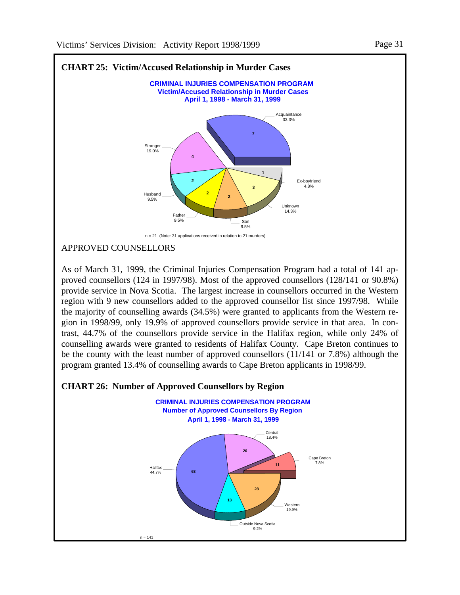

APPROVED COUNSELLORS

As of March 31, 1999, the Criminal Injuries Compensation Program had a total of 141 approved counsellors (124 in 1997/98). Most of the approved counsellors (128/141 or 90.8%) provide service in Nova Scotia. The largest increase in counsellors occurred in the Western region with 9 new counsellors added to the approved counsellor list since 1997/98. While the majority of counselling awards (34.5%) were granted to applicants from the Western region in 1998/99, only 19.9% of approved counsellors provide service in that area. In contrast, 44.7% of the counsellors provide service in the Halifax region, while only 24% of counselling awards were granted to residents of Halifax County. Cape Breton continues to be the county with the least number of approved counsellors (11/141 or 7.8%) although the program granted 13.4% of counselling awards to Cape Breton applicants in 1998/99.

#### **CHART 26: Number of Approved Counsellors by Region**

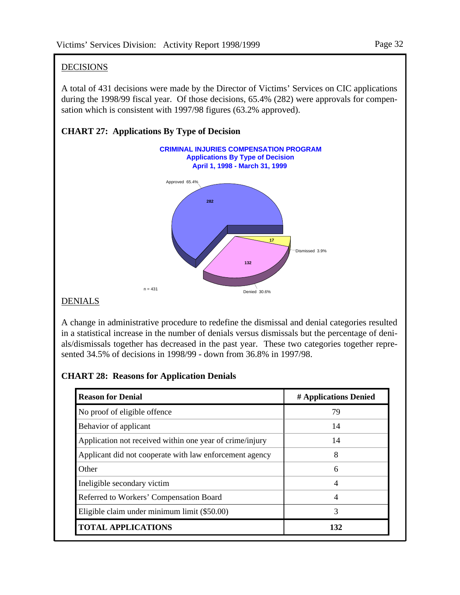#### Page 32

# DECISIONS

A total of 431 decisions were made by the Director of Victims' Services on CIC applications during the 1998/99 fiscal year. Of those decisions, 65.4% (282) were approvals for compensation which is consistent with 1997/98 figures (63.2% approved).



# **CHART 27: Applications By Type of Decision**

#### **DENIALS**

A change in administrative procedure to redefine the dismissal and denial categories resulted in a statistical increase in the number of denials versus dismissals but the percentage of denials/dismissals together has decreased in the past year. These two categories together represented 34.5% of decisions in 1998/99 - down from 36.8% in 1997/98.

# **CHART 28: Reasons for Application Denials**

| <b>Reason for Denial</b>                                 | # Applications Denied |
|----------------------------------------------------------|-----------------------|
| No proof of eligible offence                             | 79                    |
| Behavior of applicant                                    | 14                    |
| Application not received within one year of crime/injury | 14                    |
| Applicant did not cooperate with law enforcement agency  | 8                     |
| Other                                                    | 6                     |
| Ineligible secondary victim                              | 4                     |
| Referred to Workers' Compensation Board                  | 4                     |
| Eligible claim under minimum limit (\$50.00)             | 3                     |
| <b>TOTAL APPLICATIONS</b>                                | 132                   |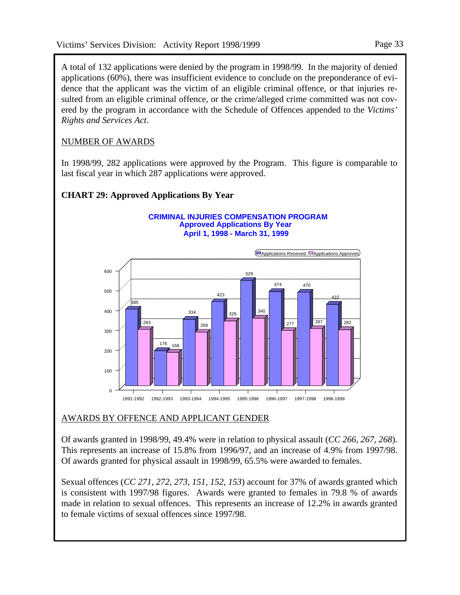A total of 132 applications were denied by the program in 1998/99. In the majority of denied applications (60%), there was insufficient evidence to conclude on the preponderance of evidence that the applicant was the victim of an eligible criminal offence, or that injuries resulted from an eligible criminal offence, or the crime/alleged crime committed was not covered by the program in accordance with the Schedule of Offences appended to the *Victims' Rights and Services Act*.

# NUMBER OF AWARDS

In 1998/99, 282 applications were approved by the Program. This figure is comparable to last fiscal year in which 287 applications were approved.

# **CHART 29: Approved Applications By Year**

#### **Approved Applications By Year CRIMINAL INJURIES COMPENSATION PROGRAM April 1, 1998 - March 31, 1999**



# AWARDS BY OFFENCE AND APPLICANT GENDER

Of awards granted in 1998/99, 49.4% were in relation to physical assault (*CC 266, 267, 268*). This represents an increase of 15.8% from 1996/97, and an increase of 4.9% from 1997/98. Of awards granted for physical assault in 1998/99, 65.5% were awarded to females.

Sexual offences (*CC 271, 272, 273, 151, 152, 153*) account for 37% of awards granted which is consistent with 1997/98 figures. Awards were granted to females in 79.8 % of awards made in relation to sexual offences. This represents an increase of 12.2% in awards granted to female victims of sexual offences since 1997/98.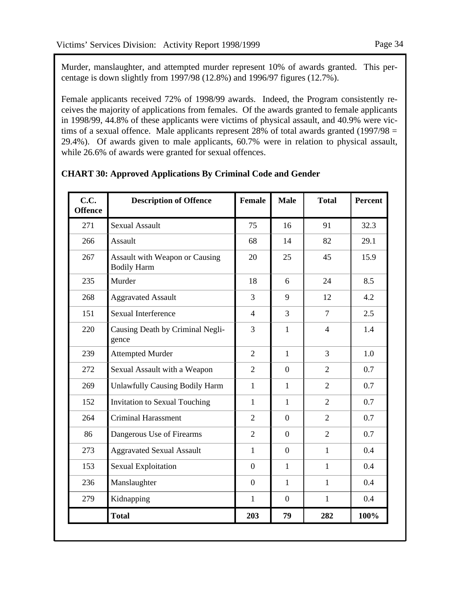Murder, manslaughter, and attempted murder represent 10% of awards granted. This percentage is down slightly from 1997/98 (12.8%) and 1996/97 figures (12.7%).

Female applicants received 72% of 1998/99 awards. Indeed, the Program consistently receives the majority of applications from females. Of the awards granted to female applicants in 1998/99, 44.8% of these applicants were victims of physical assault, and 40.9% were victims of a sexual offence. Male applicants represent 28% of total awards granted (1997/98 = 29.4%). Of awards given to male applicants, 60.7% were in relation to physical assault, while 26.6% of awards were granted for sexual offences.

| C.C.<br><b>Offence</b> | <b>Description of Offence</b>                               | <b>Female</b>  | <b>Male</b>    | <b>Total</b>   | <b>Percent</b> |
|------------------------|-------------------------------------------------------------|----------------|----------------|----------------|----------------|
| 271                    | <b>Sexual Assault</b>                                       | 75             | 16             | 91             | 32.3           |
| 266                    | Assault                                                     | 68             | 14             | 82             | 29.1           |
| 267                    | <b>Assault with Weapon or Causing</b><br><b>Bodily Harm</b> | 20             | 25             | 45             | 15.9           |
| 235                    | Murder                                                      | 18             | 6              | 24             | 8.5            |
| 268                    | <b>Aggravated Assault</b>                                   | $\overline{3}$ | 9              | 12             | 4.2            |
| 151                    | <b>Sexual Interference</b>                                  | $\overline{4}$ | 3              | $\overline{7}$ | 2.5            |
| 220                    | Causing Death by Criminal Negli-<br>gence                   | 3              | 1              | $\overline{4}$ | 1.4            |
| 239                    | <b>Attempted Murder</b>                                     | $\overline{2}$ | $\mathbf{1}$   | 3              | 1.0            |
| 272                    | Sexual Assault with a Weapon                                | $\overline{2}$ | $\overline{0}$ | $\overline{2}$ | 0.7            |
| 269                    | <b>Unlawfully Causing Bodily Harm</b>                       | $\mathbf{1}$   | $\mathbf{1}$   | $\overline{2}$ | 0.7            |
| 152                    | <b>Invitation to Sexual Touching</b>                        | $\mathbf{1}$   | $\mathbf{1}$   | $\overline{2}$ | 0.7            |
| 264                    | Criminal Harassment                                         | $\overline{2}$ | $\theta$       | $\overline{2}$ | 0.7            |
| 86                     | Dangerous Use of Firearms                                   | $\overline{2}$ | $\overline{0}$ | $\overline{2}$ | 0.7            |
| 273                    | <b>Aggravated Sexual Assault</b>                            | $\mathbf{1}$   | $\overline{0}$ | $\mathbf{1}$   | 0.4            |
| 153                    | <b>Sexual Exploitation</b>                                  | $\overline{0}$ | $\mathbf{1}$   | $\mathbf{1}$   | 0.4            |
| 236                    | Manslaughter                                                | $\overline{0}$ | 1              | $\mathbf{1}$   | 0.4            |
| 279                    | Kidnapping                                                  | $\mathbf{1}$   | $\overline{0}$ | 1              | 0.4            |
|                        | <b>Total</b>                                                | 203            | 79             | 282            | 100%           |

# **CHART 30: Approved Applications By Criminal Code and Gender**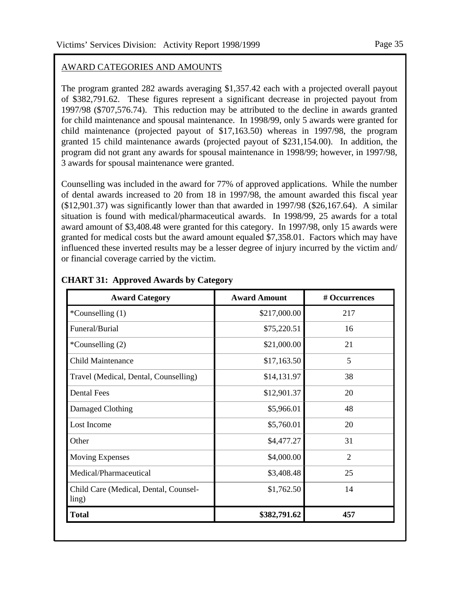### AWARD CATEGORIES AND AMOUNTS

The program granted 282 awards averaging \$1,357.42 each with a projected overall payout of \$382,791.62. These figures represent a significant decrease in projected payout from 1997/98 (\$707,576.74). This reduction may be attributed to the decline in awards granted for child maintenance and spousal maintenance. In 1998/99, only 5 awards were granted for child maintenance (projected payout of \$17,163.50) whereas in 1997/98, the program granted 15 child maintenance awards (projected payout of \$231,154.00). In addition, the program did not grant any awards for spousal maintenance in 1998/99; however, in 1997/98, 3 awards for spousal maintenance were granted.

Counselling was included in the award for 77% of approved applications. While the number of dental awards increased to 20 from 18 in 1997/98, the amount awarded this fiscal year (\$12,901.37) was significantly lower than that awarded in 1997/98 (\$26,167.64). A similar situation is found with medical/pharmaceutical awards. In 1998/99, 25 awards for a total award amount of \$3,408.48 were granted for this category. In 1997/98, only 15 awards were granted for medical costs but the award amount equaled \$7,358.01. Factors which may have influenced these inverted results may be a lesser degree of injury incurred by the victim and/ or financial coverage carried by the victim.

| <b>Award Category</b>                          | <b>Award Amount</b> | # Occurrences  |
|------------------------------------------------|---------------------|----------------|
| *Counselling (1)                               | \$217,000.00        | 217            |
| Funeral/Burial                                 | \$75,220.51         | 16             |
| *Counselling (2)                               | \$21,000.00         | 21             |
| <b>Child Maintenance</b>                       | \$17,163.50         | 5              |
| Travel (Medical, Dental, Counselling)          | \$14,131.97         | 38             |
| <b>Dental Fees</b>                             | \$12,901.37         | 20             |
| Damaged Clothing                               | \$5,966.01          | 48             |
| Lost Income                                    | \$5,760.01          | 20             |
| Other                                          | \$4,477.27          | 31             |
| <b>Moving Expenses</b>                         | \$4,000.00          | $\overline{2}$ |
| Medical/Pharmaceutical                         | \$3,408.48          | 25             |
| Child Care (Medical, Dental, Counsel-<br>ling) | \$1,762.50          | 14             |
| <b>Total</b>                                   | \$382,791.62        | 457            |

#### **CHART 31: Approved Awards by Category**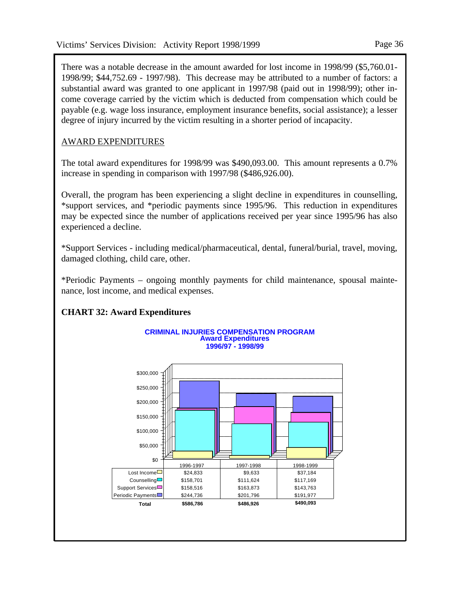There was a notable decrease in the amount awarded for lost income in 1998/99 (\$5,760.01- 1998/99; \$44,752.69 - 1997/98). This decrease may be attributed to a number of factors: a substantial award was granted to one applicant in 1997/98 (paid out in 1998/99); other income coverage carried by the victim which is deducted from compensation which could be payable (e.g. wage loss insurance, employment insurance benefits, social assistance); a lesser degree of injury incurred by the victim resulting in a shorter period of incapacity.

# AWARD EXPENDITURES

The total award expenditures for 1998/99 was \$490,093.00. This amount represents a 0.7% increase in spending in comparison with 1997/98 (\$486,926.00).

Overall, the program has been experiencing a slight decline in expenditures in counselling, \*support services, and \*periodic payments since 1995/96. This reduction in expenditures may be expected since the number of applications received per year since 1995/96 has also experienced a decline.

\*Support Services - including medical/pharmaceutical, dental, funeral/burial, travel, moving, damaged clothing, child care, other.

\*Periodic Payments – ongoing monthly payments for child maintenance, spousal maintenance, lost income, and medical expenses.

# **CHART 32: Award Expenditures**

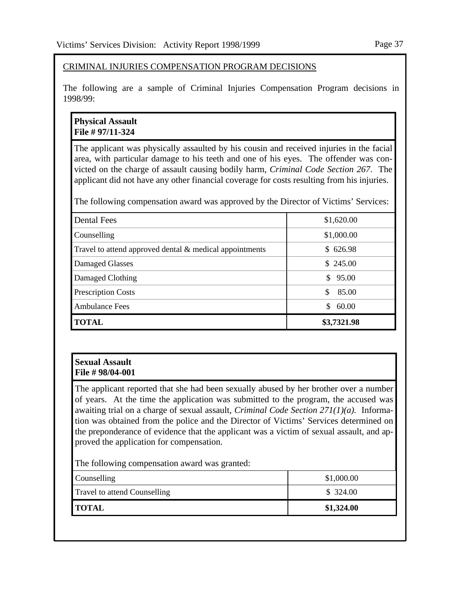#### CRIMINAL INJURIES COMPENSATION PROGRAM DECISIONS

The following are a sample of Criminal Injuries Compensation Program decisions in 1998/99:

#### **Physical Assault File # 97/11-324**

The applicant was physically assaulted by his cousin and received injuries in the facial area, with particular damage to his teeth and one of his eyes. The offender was convicted on the charge of assault causing bodily harm, *Criminal Code Section 267*. The applicant did not have any other financial coverage for costs resulting from his injuries.

The following compensation award was approved by the Director of Victims' Services:

| <b>Dental Fees</b>                                      | \$1,620.00  |
|---------------------------------------------------------|-------------|
| Counselling                                             | \$1,000.00  |
| Travel to attend approved dental & medical appointments | \$626.98    |
| Damaged Glasses                                         | \$245.00    |
| Damaged Clothing                                        | \$95.00     |
| <b>Prescription Costs</b>                               | 85.00       |
| <b>Ambulance Fees</b>                                   | 60.00<br>S. |
| <b>TOTAL</b>                                            | \$3,7321.98 |

#### **Sexual Assault File # 98/04-001**

The applicant reported that she had been sexually abused by her brother over a number of years. At the time the application was submitted to the program, the accused was awaiting trial on a charge of sexual assault, *Criminal Code Section 271(1)(a).* Information was obtained from the police and the Director of Victims' Services determined on the preponderance of evidence that the applicant was a victim of sexual assault, and approved the application for compensation.

The following compensation award was granted:

| Counselling                         | \$1,000.00 |
|-------------------------------------|------------|
| <b>Travel to attend Counselling</b> | \$324.00   |
| <b>TOTAL</b>                        | \$1,324.00 |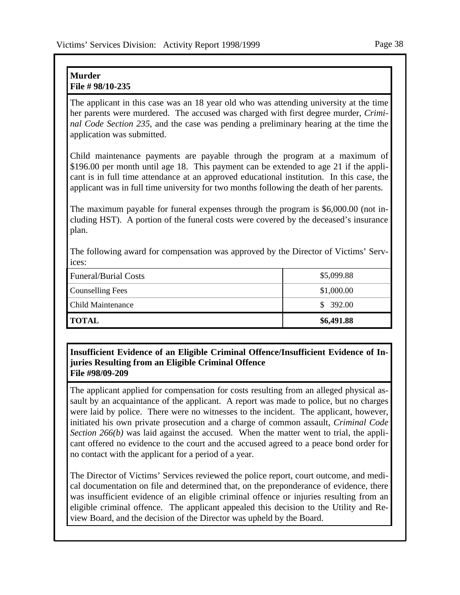#### **Murder File # 98/10-235**

The applicant in this case was an 18 year old who was attending university at the time her parents were murdered. The accused was charged with first degree murder, *Criminal Code Section 235*, and the case was pending a preliminary hearing at the time the application was submitted.

Child maintenance payments are payable through the program at a maximum of \$196.00 per month until age 18. This payment can be extended to age 21 if the applicant is in full time attendance at an approved educational institution. In this case, the applicant was in full time university for two months following the death of her parents.

The maximum payable for funeral expenses through the program is \$6,000.00 (not including HST). A portion of the funeral costs were covered by the deceased's insurance plan.

The following award for compensation was approved by the Director of Victims' Services:

| <b>'TOTAL</b>               | \$6,491.88 |
|-----------------------------|------------|
| <b>Child Maintenance</b>    | \$392.00   |
| <b>Counselling Fees</b>     | \$1,000.00 |
| <b>Funeral/Burial Costs</b> | \$5,099.88 |

#### **Insufficient Evidence of an Eligible Criminal Offence/Insufficient Evidence of Injuries Resulting from an Eligible Criminal Offence File #98/09-209**

The applicant applied for compensation for costs resulting from an alleged physical assault by an acquaintance of the applicant. A report was made to police, but no charges were laid by police. There were no witnesses to the incident. The applicant, however, initiated his own private prosecution and a charge of common assault, *Criminal Code Section 266(b)* was laid against the accused. When the matter went to trial, the applicant offered no evidence to the court and the accused agreed to a peace bond order for no contact with the applicant for a period of a year.

The Director of Victims' Services reviewed the police report, court outcome, and medical documentation on file and determined that, on the preponderance of evidence, there was insufficient evidence of an eligible criminal offence or injuries resulting from an eligible criminal offence. The applicant appealed this decision to the Utility and Review Board, and the decision of the Director was upheld by the Board.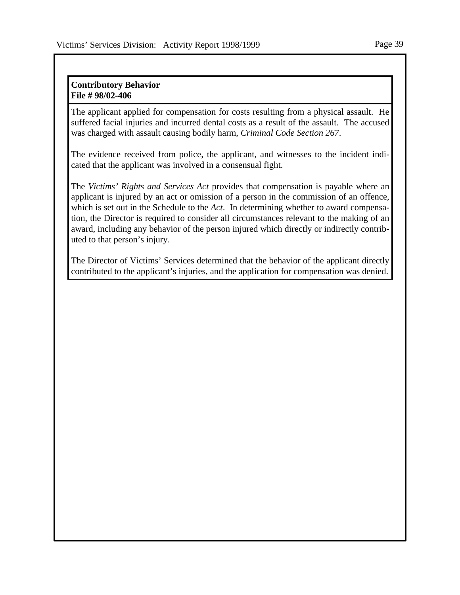#### **Contributory Behavior File # 98/02-406**

The applicant applied for compensation for costs resulting from a physical assault. He suffered facial injuries and incurred dental costs as a result of the assault. The accused was charged with assault causing bodily harm, *Criminal Code Section 267*.

The evidence received from police, the applicant, and witnesses to the incident indicated that the applicant was involved in a consensual fight.

The *Victims' Rights and Services Act* provides that compensation is payable where an applicant is injured by an act or omission of a person in the commission of an offence, which is set out in the Schedule to the *Act*. In determining whether to award compensation, the Director is required to consider all circumstances relevant to the making of an award, including any behavior of the person injured which directly or indirectly contributed to that person's injury.

The Director of Victims' Services determined that the behavior of the applicant directly contributed to the applicant's injuries, and the application for compensation was denied.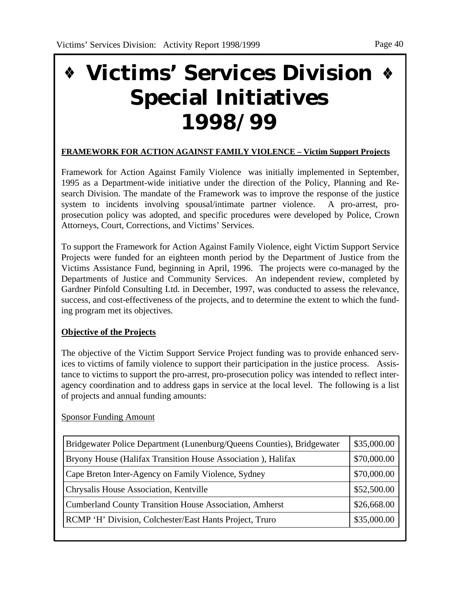# **Victims' Services Division Special Initiatives 1998/99**

# **FRAMEWORK FOR ACTION AGAINST FAMILY VIOLENCE – Victim Support Projects**

Framework for Action Against Family Violence was initially implemented in September, 1995 as a Department-wide initiative under the direction of the Policy, Planning and Research Division. The mandate of the Framework was to improve the response of the justice system to incidents involving spousal/intimate partner violence. A pro-arrest, proprosecution policy was adopted, and specific procedures were developed by Police, Crown Attorneys, Court, Corrections, and Victims' Services.

To support the Framework for Action Against Family Violence, eight Victim Support Service Projects were funded for an eighteen month period by the Department of Justice from the Victims Assistance Fund, beginning in April, 1996. The projects were co-managed by the Departments of Justice and Community Services. An independent review, completed by Gardner Pinfold Consulting Ltd. in December, 1997, was conducted to assess the relevance, success, and cost-effectiveness of the projects, and to determine the extent to which the funding program met its objectives.

# **Objective of the Projects**

The objective of the Victim Support Service Project funding was to provide enhanced services to victims of family violence to support their participation in the justice process. Assistance to victims to support the pro-arrest, pro-prosecution policy was intended to reflect interagency coordination and to address gaps in service at the local level. The following is a list of projects and annual funding amounts:

Sponsor Funding Amount

| Bridgewater Police Department (Lunenburg/Queens Counties), Bridgewater | \$35,000.00 |
|------------------------------------------------------------------------|-------------|
| Bryony House (Halifax Transition House Association), Halifax           | \$70,000.00 |
| Cape Breton Inter-Agency on Family Violence, Sydney                    | \$70,000.00 |
| Chrysalis House Association, Kentville                                 | \$52,500.00 |
| <b>Cumberland County Transition House Association, Amherst</b>         |             |
| RCMP 'H' Division, Colchester/East Hants Project, Truro                | \$35,000.00 |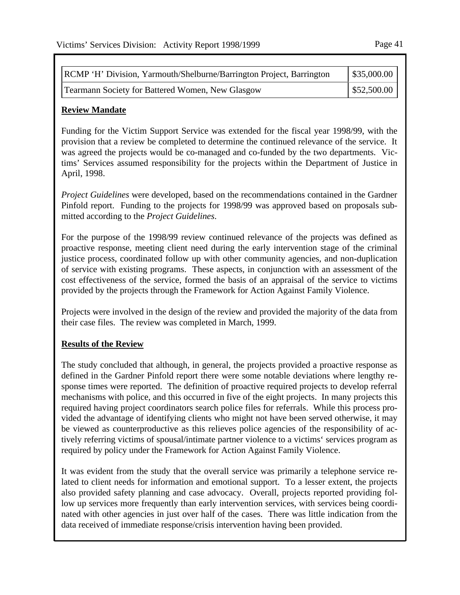| RCMP 'H' Division, Yarmouth/Shelburne/Barrington Project, Barrington | \$35,000.00 |
|----------------------------------------------------------------------|-------------|
| Tearmann Society for Battered Women, New Glasgow                     | \$52,500.00 |

#### **Review Mandate**

Funding for the Victim Support Service was extended for the fiscal year 1998/99, with the provision that a review be completed to determine the continued relevance of the service. It was agreed the projects would be co-managed and co-funded by the two departments. Victims' Services assumed responsibility for the projects within the Department of Justice in April, 1998.

*Project Guidelines* were developed, based on the recommendations contained in the Gardner Pinfold report. Funding to the projects for 1998/99 was approved based on proposals submitted according to the *Project Guidelines*.

For the purpose of the 1998/99 review continued relevance of the projects was defined as proactive response, meeting client need during the early intervention stage of the criminal justice process, coordinated follow up with other community agencies, and non-duplication of service with existing programs. These aspects, in conjunction with an assessment of the cost effectiveness of the service, formed the basis of an appraisal of the service to victims provided by the projects through the Framework for Action Against Family Violence.

Projects were involved in the design of the review and provided the majority of the data from their case files. The review was completed in March, 1999.

#### **Results of the Review**

The study concluded that although, in general, the projects provided a proactive response as defined in the Gardner Pinfold report there were some notable deviations where lengthy response times were reported. The definition of proactive required projects to develop referral mechanisms with police, and this occurred in five of the eight projects. In many projects this required having project coordinators search police files for referrals. While this process provided the advantage of identifying clients who might not have been served otherwise, it may be viewed as counterproductive as this relieves police agencies of the responsibility of actively referring victims of spousal/intimate partner violence to a victims' services program as required by policy under the Framework for Action Against Family Violence.

It was evident from the study that the overall service was primarily a telephone service related to client needs for information and emotional support. To a lesser extent, the projects also provided safety planning and case advocacy. Overall, projects reported providing follow up services more frequently than early intervention services, with services being coordinated with other agencies in just over half of the cases. There was little indication from the data received of immediate response/crisis intervention having been provided.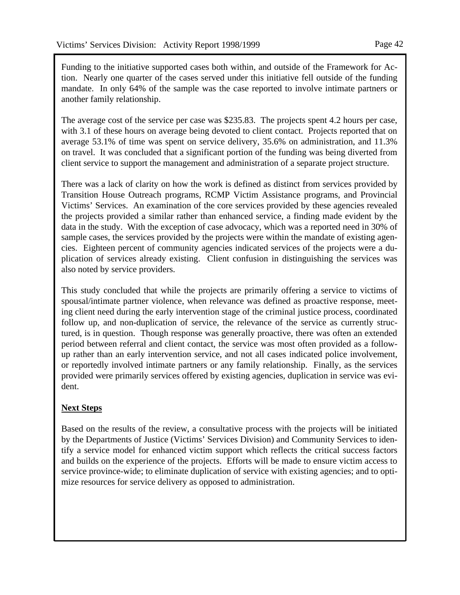Funding to the initiative supported cases both within, and outside of the Framework for Action. Nearly one quarter of the cases served under this initiative fell outside of the funding mandate. In only 64% of the sample was the case reported to involve intimate partners or another family relationship.

The average cost of the service per case was \$235.83. The projects spent 4.2 hours per case, with 3.1 of these hours on average being devoted to client contact. Projects reported that on average 53.1% of time was spent on service delivery, 35.6% on administration, and 11.3% on travel. It was concluded that a significant portion of the funding was being diverted from client service to support the management and administration of a separate project structure.

There was a lack of clarity on how the work is defined as distinct from services provided by Transition House Outreach programs, RCMP Victim Assistance programs, and Provincial Victims' Services. An examination of the core services provided by these agencies revealed the projects provided a similar rather than enhanced service, a finding made evident by the data in the study. With the exception of case advocacy, which was a reported need in 30% of sample cases, the services provided by the projects were within the mandate of existing agencies. Eighteen percent of community agencies indicated services of the projects were a duplication of services already existing. Client confusion in distinguishing the services was also noted by service providers.

This study concluded that while the projects are primarily offering a service to victims of spousal/intimate partner violence, when relevance was defined as proactive response, meeting client need during the early intervention stage of the criminal justice process, coordinated follow up, and non-duplication of service, the relevance of the service as currently structured, is in question. Though response was generally proactive, there was often an extended period between referral and client contact, the service was most often provided as a followup rather than an early intervention service, and not all cases indicated police involvement, or reportedly involved intimate partners or any family relationship. Finally, as the services provided were primarily services offered by existing agencies, duplication in service was evident.

# **Next Steps**

Based on the results of the review, a consultative process with the projects will be initiated by the Departments of Justice (Victims' Services Division) and Community Services to identify a service model for enhanced victim support which reflects the critical success factors and builds on the experience of the projects. Efforts will be made to ensure victim access to service province-wide; to eliminate duplication of service with existing agencies; and to optimize resources for service delivery as opposed to administration.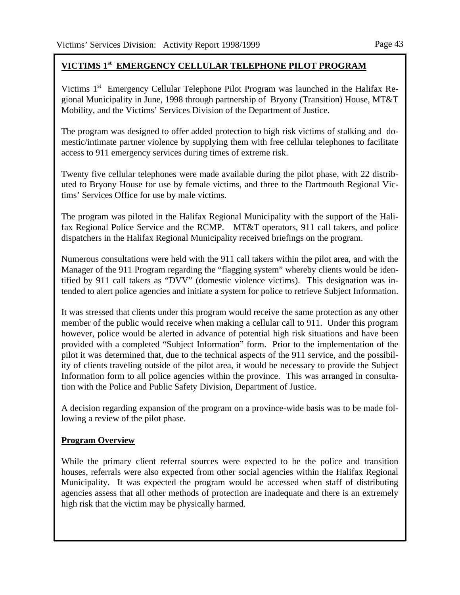# **VICTIMS 1st EMERGENCY CELLULAR TELEPHONE PILOT PROGRAM**

Victims 1<sup>st</sup> Emergency Cellular Telephone Pilot Program was launched in the Halifax Regional Municipality in June, 1998 through partnership of Bryony (Transition) House, MT&T Mobility, and the Victims' Services Division of the Department of Justice.

The program was designed to offer added protection to high risk victims of stalking and domestic/intimate partner violence by supplying them with free cellular telephones to facilitate access to 911 emergency services during times of extreme risk.

Twenty five cellular telephones were made available during the pilot phase, with 22 distributed to Bryony House for use by female victims, and three to the Dartmouth Regional Victims' Services Office for use by male victims.

The program was piloted in the Halifax Regional Municipality with the support of the Halifax Regional Police Service and the RCMP. MT&T operators, 911 call takers, and police dispatchers in the Halifax Regional Municipality received briefings on the program.

Numerous consultations were held with the 911 call takers within the pilot area, and with the Manager of the 911 Program regarding the "flagging system" whereby clients would be identified by 911 call takers as "DVV" (domestic violence victims). This designation was intended to alert police agencies and initiate a system for police to retrieve Subject Information.

It was stressed that clients under this program would receive the same protection as any other member of the public would receive when making a cellular call to 911. Under this program however, police would be alerted in advance of potential high risk situations and have been provided with a completed "Subject Information" form. Prior to the implementation of the pilot it was determined that, due to the technical aspects of the 911 service, and the possibility of clients traveling outside of the pilot area, it would be necessary to provide the Subject Information form to all police agencies within the province. This was arranged in consultation with the Police and Public Safety Division, Department of Justice.

A decision regarding expansion of the program on a province-wide basis was to be made following a review of the pilot phase.

#### **Program Overview**

While the primary client referral sources were expected to be the police and transition houses, referrals were also expected from other social agencies within the Halifax Regional Municipality. It was expected the program would be accessed when staff of distributing agencies assess that all other methods of protection are inadequate and there is an extremely high risk that the victim may be physically harmed.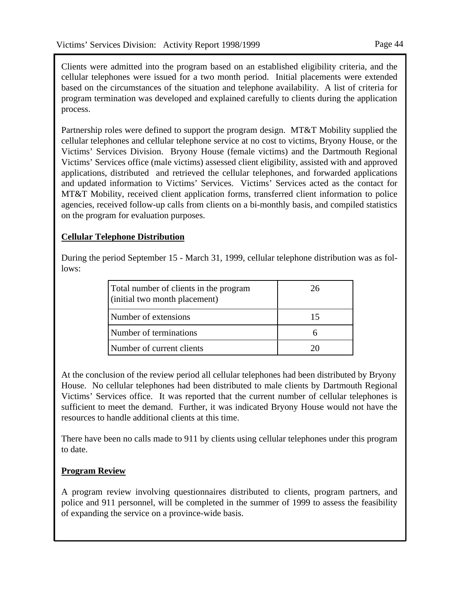Clients were admitted into the program based on an established eligibility criteria, and the cellular telephones were issued for a two month period. Initial placements were extended based on the circumstances of the situation and telephone availability. A list of criteria for program termination was developed and explained carefully to clients during the application process.

Partnership roles were defined to support the program design. MT&T Mobility supplied the cellular telephones and cellular telephone service at no cost to victims, Bryony House, or the Victims' Services Division. Bryony House (female victims) and the Dartmouth Regional Victims' Services office (male victims) assessed client eligibility, assisted with and approved applications, distributed and retrieved the cellular telephones, and forwarded applications and updated information to Victims' Services. Victims' Services acted as the contact for MT&T Mobility, received client application forms, transferred client information to police agencies, received follow-up calls from clients on a bi-monthly basis, and compiled statistics on the program for evaluation purposes.

# **Cellular Telephone Distribution**

During the period September 15 - March 31, 1999, cellular telephone distribution was as follows:

| Total number of clients in the program<br>(initial two month placement) | 26 |
|-------------------------------------------------------------------------|----|
| Number of extensions                                                    |    |
| Number of terminations                                                  |    |
| Number of current clients                                               |    |

At the conclusion of the review period all cellular telephones had been distributed by Bryony House. No cellular telephones had been distributed to male clients by Dartmouth Regional Victims' Services office. It was reported that the current number of cellular telephones is sufficient to meet the demand. Further, it was indicated Bryony House would not have the resources to handle additional clients at this time.

There have been no calls made to 911 by clients using cellular telephones under this program to date.

# **Program Review**

A program review involving questionnaires distributed to clients, program partners, and police and 911 personnel, will be completed in the summer of 1999 to assess the feasibility of expanding the service on a province-wide basis.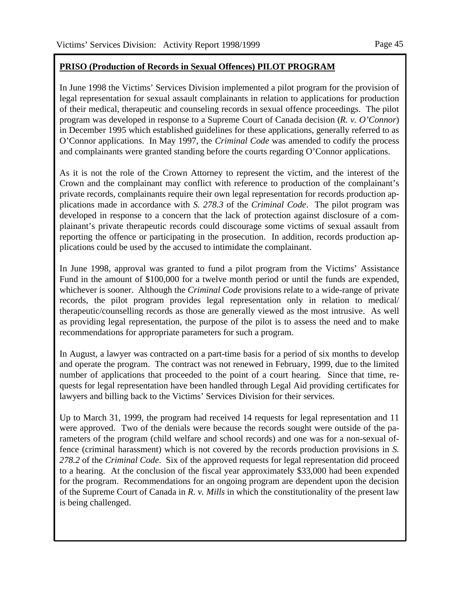#### **PRISO (Production of Records in Sexual Offences) PILOT PROGRAM**

In June 1998 the Victims' Services Division implemented a pilot program for the provision of legal representation for sexual assault complainants in relation to applications for production of their medical, therapeutic and counseling records in sexual offence proceedings. The pilot program was developed in response to a Supreme Court of Canada decision (*R. v. O'Connor*) in December 1995 which established guidelines for these applications, generally referred to as O'Connor applications. In May 1997, the *Criminal Code* was amended to codify the process and complainants were granted standing before the courts regarding O'Connor applications.

As it is not the role of the Crown Attorney to represent the victim, and the interest of the Crown and the complainant may conflict with reference to production of the complainant's private records, complainants require their own legal representation for records production applications made in accordance with *S. 278.3* of the *Criminal Code*. The pilot program was developed in response to a concern that the lack of protection against disclosure of a complainant's private therapeutic records could discourage some victims of sexual assault from reporting the offence or participating in the prosecution. In addition, records production applications could be used by the accused to intimidate the complainant.

In June 1998, approval was granted to fund a pilot program from the Victims' Assistance Fund in the amount of \$100,000 for a twelve month period or until the funds are expended, whichever is sooner. Although the *Criminal Code* provisions relate to a wide-range of private records, the pilot program provides legal representation only in relation to medical/ therapeutic/counselling records as those are generally viewed as the most intrusive. As well as providing legal representation, the purpose of the pilot is to assess the need and to make recommendations for appropriate parameters for such a program.

In August, a lawyer was contracted on a part-time basis for a period of six months to develop and operate the program. The contract was not renewed in February, 1999, due to the limited number of applications that proceeded to the point of a court hearing. Since that time, requests for legal representation have been handled through Legal Aid providing certificates for lawyers and billing back to the Victims' Services Division for their services.

Up to March 31, 1999, the program had received 14 requests for legal representation and 11 were approved. Two of the denials were because the records sought were outside of the parameters of the program (child welfare and school records) and one was for a non-sexual offence (criminal harassment) which is not covered by the records production provisions in *S. 278.2* of the *Criminal Code*. Six of the approved requests for legal representation did proceed to a hearing. At the conclusion of the fiscal year approximately \$33,000 had been expended for the program. Recommendations for an ongoing program are dependent upon the decision of the Supreme Court of Canada in *R. v. Mills* in which the constitutionality of the present law is being challenged.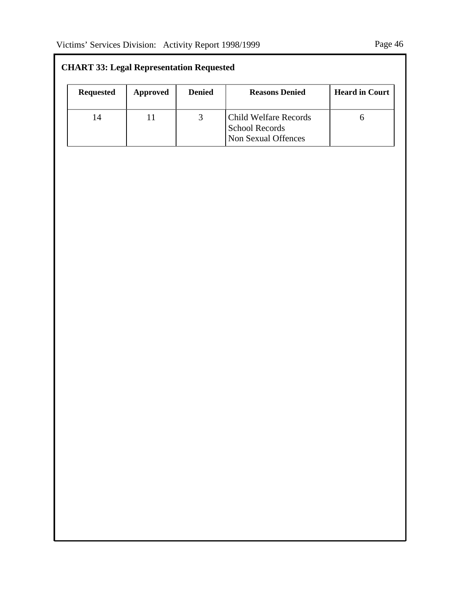| <b>CHART 33: Legal Representation Requested</b> |          |               |                                                                       |                       |
|-------------------------------------------------|----------|---------------|-----------------------------------------------------------------------|-----------------------|
| <b>Requested</b>                                | Approved | <b>Denied</b> | <b>Reasons Denied</b>                                                 | <b>Heard in Court</b> |
| 14                                              | 11       |               | Child Welfare Records<br><b>School Records</b><br>Non Sexual Offences |                       |

# **CHART 33: Legal Representation Requested**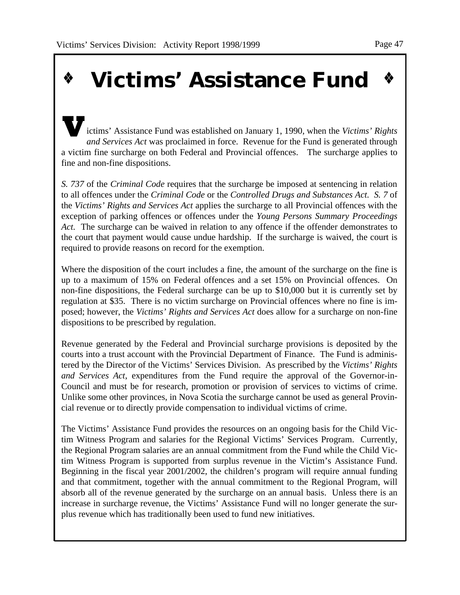# **Victims' Assistance Fund**

ictims' Assistance Fund was established on January 1, 1990, when the *Victims' Rights and Services Act* was proclaimed in force. Revenue for the Fund is generated through a victim fine surcharge on both Federal and Provincial offences. The surcharge applies to fine and non-fine dispositions.

*S. 737* of the *Criminal Code* requires that the surcharge be imposed at sentencing in relation to all offences under the *Criminal Code* or the *Controlled Drugs and Substances Act. S. 7* of the *Victims' Rights and Services Act* applies the surcharge to all Provincial offences with the exception of parking offences or offences under the *Young Persons Summary Proceedings Act.* The surcharge can be waived in relation to any offence if the offender demonstrates to the court that payment would cause undue hardship. If the surcharge is waived, the court is required to provide reasons on record for the exemption.

Where the disposition of the court includes a fine, the amount of the surcharge on the fine is up to a maximum of 15% on Federal offences and a set 15% on Provincial offences. On non-fine dispositions, the Federal surcharge can be up to \$10,000 but it is currently set by regulation at \$35. There is no victim surcharge on Provincial offences where no fine is imposed; however, the *Victims' Rights and Services Act* does allow for a surcharge on non-fine dispositions to be prescribed by regulation.

Revenue generated by the Federal and Provincial surcharge provisions is deposited by the courts into a trust account with the Provincial Department of Finance. The Fund is administered by the Director of the Victims' Services Division. As prescribed by the *Victims' Rights and Services Act*, expenditures from the Fund require the approval of the Governor-in-Council and must be for research, promotion or provision of services to victims of crime. Unlike some other provinces, in Nova Scotia the surcharge cannot be used as general Provincial revenue or to directly provide compensation to individual victims of crime.

The Victims' Assistance Fund provides the resources on an ongoing basis for the Child Victim Witness Program and salaries for the Regional Victims' Services Program. Currently, the Regional Program salaries are an annual commitment from the Fund while the Child Victim Witness Program is supported from surplus revenue in the Victim's Assistance Fund. Beginning in the fiscal year 2001/2002, the children's program will require annual funding and that commitment, together with the annual commitment to the Regional Program, will absorb all of the revenue generated by the surcharge on an annual basis. Unless there is an increase in surcharge revenue, the Victims' Assistance Fund will no longer generate the surplus revenue which has traditionally been used to fund new initiatives.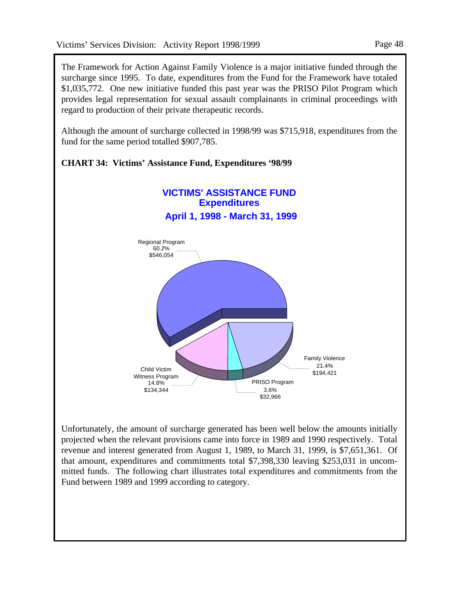The Framework for Action Against Family Violence is a major initiative funded through the surcharge since 1995. To date, expenditures from the Fund for the Framework have totaled \$1,035,772. One new initiative funded this past year was the PRISO Pilot Program which provides legal representation for sexual assault complainants in criminal proceedings with regard to production of their private therapeutic records.

Although the amount of surcharge collected in 1998/99 was \$715,918, expenditures from the fund for the same period totalled \$907,785.



**CHART 34: Victims' Assistance Fund, Expenditures '98/99**

Unfortunately, the amount of surcharge generated has been well below the amounts initially projected when the relevant provisions came into force in 1989 and 1990 respectively. Total revenue and interest generated from August 1, 1989, to March 31, 1999, is \$7,651,361. Of that amount, expenditures and commitments total \$7,398,330 leaving \$253,031 in uncommitted funds. The following chart illustrates total expenditures and commitments from the Fund between 1989 and 1999 according to category.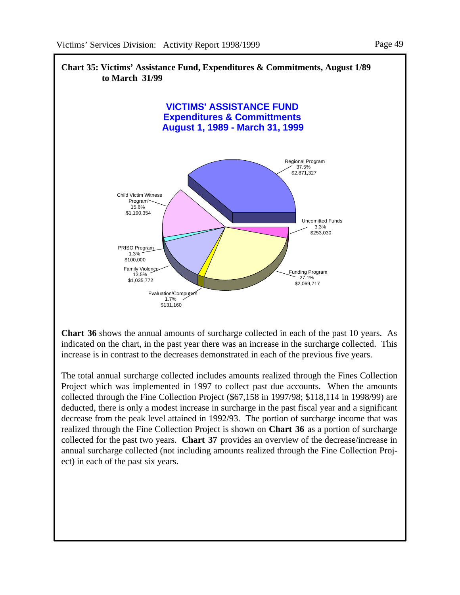

**Chart 36** shows the annual amounts of surcharge collected in each of the past 10 years. As indicated on the chart, in the past year there was an increase in the surcharge collected. This increase is in contrast to the decreases demonstrated in each of the previous five years.

The total annual surcharge collected includes amounts realized through the Fines Collection Project which was implemented in 1997 to collect past due accounts. When the amounts collected through the Fine Collection Project (\$67,158 in 1997/98; \$118,114 in 1998/99) are deducted, there is only a modest increase in surcharge in the past fiscal year and a significant decrease from the peak level attained in 1992/93. The portion of surcharge income that was realized through the Fine Collection Project is shown on **Chart 36** as a portion of surcharge collected for the past two years. **Chart 37** provides an overview of the decrease/increase in annual surcharge collected (not including amounts realized through the Fine Collection Project) in each of the past six years.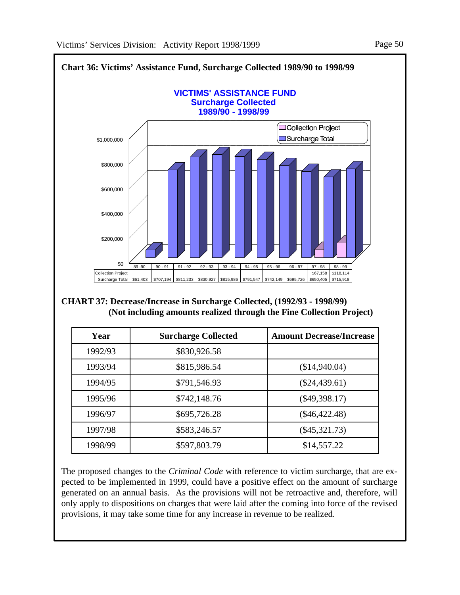

The proposed changes to the *Criminal Code* with reference to victim surcharge, that are expected to be implemented in 1999, could have a positive effect on the amount of surcharge generated on an annual basis. As the provisions will not be retroactive and, therefore, will only apply to dispositions on charges that were laid after the coming into force of the revised provisions, it may take some time for any increase in revenue to be realized.